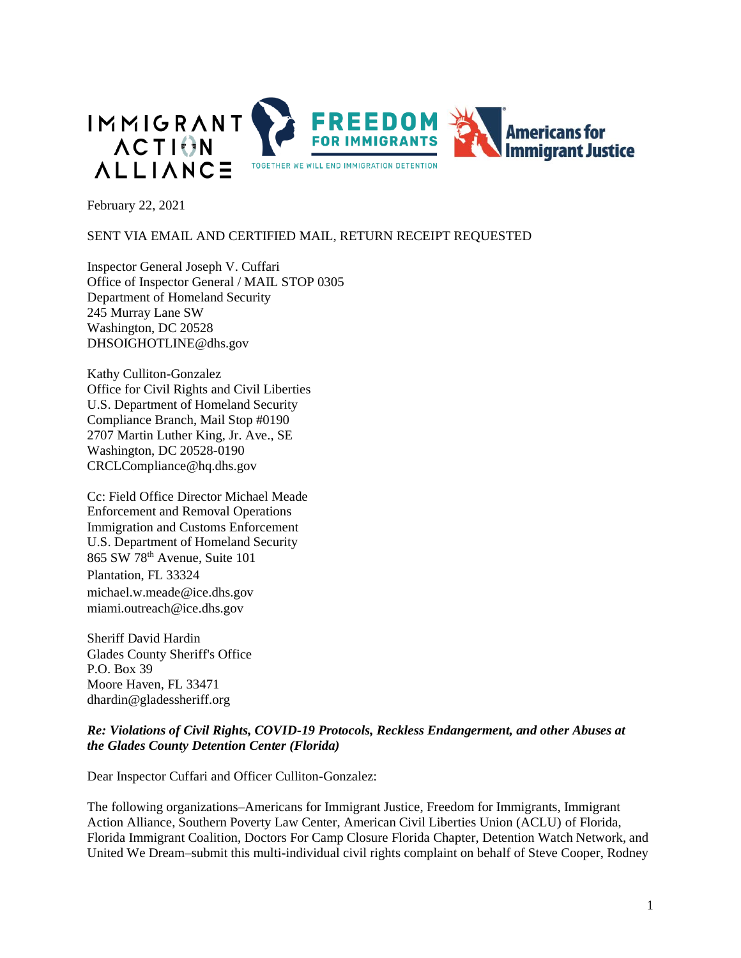

February 22, 2021

## SENT VIA EMAIL AND CERTIFIED MAIL, RETURN RECEIPT REQUESTED

Inspector General Joseph V. Cuffari Office of Inspector General / MAIL STOP 0305 Department of Homeland Security 245 Murray Lane SW Washington, DC 20528 DHSOIGHOTLINE@dhs.gov

Kathy Culliton-Gonzalez Office for Civil Rights and Civil Liberties U.S. Department of Homeland Security Compliance Branch, Mail Stop #0190 2707 Martin Luther King, Jr. Ave., SE Washington, DC 20528-0190 CRCLCompliance@hq.dhs.gov

Cc: Field Office Director Michael Meade Enforcement and Removal Operations Immigration and Customs Enforcement U.S. Department of Homeland Security 865 SW 78th Avenue, Suite 101 Plantation, FL 33324 [michael.w.meade@ice.dhs.gov](mailto:michael.w.meade@ice.dhs.gov) [miami.outreach@ice.dhs.gov](mailto:miami.outreach@ice.dhs.gov)

Sheriff David Hardin Glades County Sheriff's Office P.O. Box 39 Moore Haven, FL 33471 [dhardin@gladessheriff.org](mailto:dhardin@gladessheriff.org)

## *Re: Violations of Civil Rights, COVID-19 Protocols, Reckless Endangerment, and other Abuses at the Glades County Detention Center (Florida)*

Dear Inspector Cuffari and Officer Culliton-Gonzalez:

The following organizations–Americans for Immigrant Justice, Freedom for Immigrants, Immigrant Action Alliance, Southern Poverty Law Center, American Civil Liberties Union (ACLU) of Florida, Florida Immigrant Coalition, Doctors For Camp Closure Florida Chapter, Detention Watch Network, and United We Dream–submit this multi-individual civil rights complaint on behalf of Steve Cooper, Rodney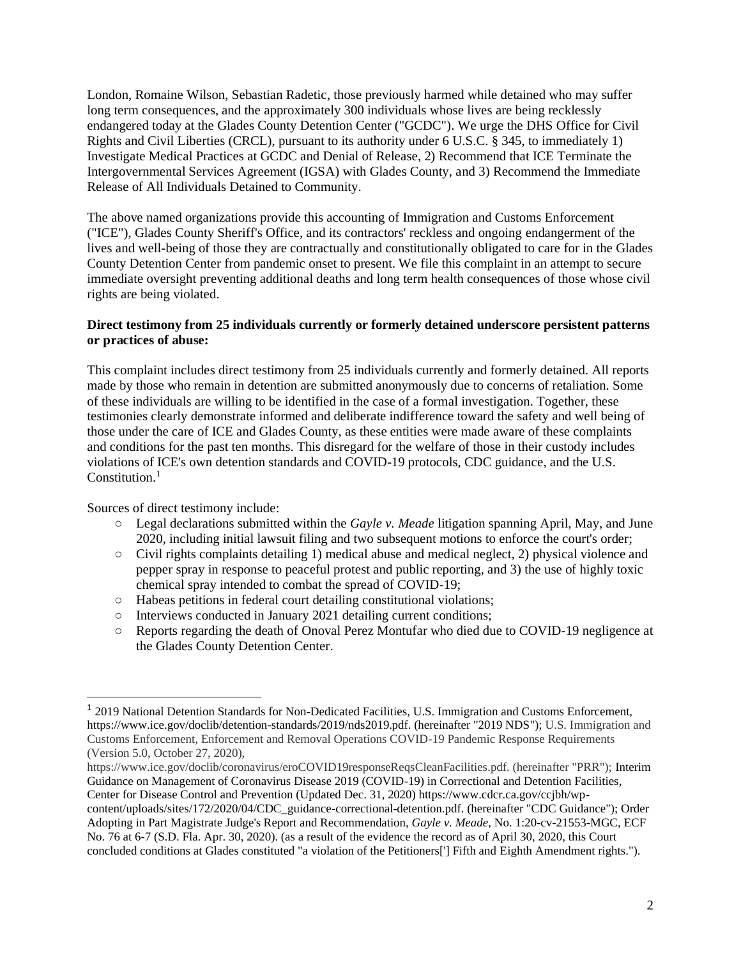London, Romaine Wilson, Sebastian Radetic, those previously harmed while detained who may suffer long term consequences, and the approximately 300 individuals whose lives are being recklessly endangered today at the Glades County Detention Center ("GCDC"). We urge the DHS Office for Civil Rights and Civil Liberties (CRCL), pursuant to its authority under 6 U.S.C. § 345, to immediately 1) Investigate Medical Practices at GCDC and Denial of Release, 2) Recommend that ICE Terminate the Intergovernmental Services Agreement (IGSA) with Glades County, and 3) Recommend the Immediate Release of All Individuals Detained to Community.

The above named organizations provide this accounting of Immigration and Customs Enforcement ("ICE"), Glades County Sheriff's Office, and its contractors' reckless and ongoing endangerment of the lives and well-being of those they are contractually and constitutionally obligated to care for in the Glades County Detention Center from pandemic onset to present. We file this complaint in an attempt to secure immediate oversight preventing additional deaths and long term health consequences of those whose civil rights are being violated.

## **Direct testimony from 25 individuals currently or formerly detained underscore persistent patterns or practices of abuse:**

This complaint includes direct testimony from 25 individuals currently and formerly detained. All reports made by those who remain in detention are submitted anonymously due to concerns of retaliation. Some of these individuals are willing to be identified in the case of a formal investigation. Together, these testimonies clearly demonstrate informed and deliberate indifference toward the safety and well being of those under the care of ICE and Glades County, as these entities were made aware of these complaints and conditions for the past ten months. This disregard for the welfare of those in their custody includes violations of ICE's own detention standards and COVID-19 protocols, CDC guidance, and the U.S. Constitution.<sup>1</sup>

Sources of direct testimony include:

- Legal declarations submitted within the *Gayle v. Meade* litigation spanning April, May, and June 2020, including initial lawsuit filing and two subsequent motions to enforce the court's order;
- Civil rights complaints detailing 1) medical abuse and medical neglect, 2) physical violence and pepper spray in response to peaceful protest and public reporting, and 3) the use of highly toxic chemical spray intended to combat the spread of COVID-19;
- Habeas petitions in federal court detailing constitutional violations;
- Interviews conducted in January 2021 detailing current conditions;
- Reports regarding the death of Onoval Perez Montufar who died due to COVID-19 negligence at the Glades County Detention Center.

https://www.ice.gov/doclib/coronavirus/eroCOVID19responseReqsCleanFacilities.pdf. (hereinafter "PRR"); Interim Guidance on Management of Coronavirus Disease 2019 (COVID-19) in Correctional and Detention Facilities, Center for Disease Control and Prevention (Updated Dec. 31, 2020) https://www.cdcr.ca.gov/ccjbh/wpcontent/uploads/sites/172/2020/04/CDC\_guidance-correctional-detention.pdf. (hereinafter "CDC Guidance"); Order Adopting in Part Magistrate Judge's Report and Recommendation, *Gayle v. Meade,* No. 1:20-cv-21553-MGC, ECF No. 76 at 6-7 (S.D. Fla. Apr. 30, 2020). (as a result of the evidence the record as of April 30, 2020, this Court concluded conditions at Glades constituted "a violation of the Petitioners['] Fifth and Eighth Amendment rights.").

<sup>&</sup>lt;sup>1</sup> 2019 National Detention Standards for Non-Dedicated Facilities, U.S. Immigration and Customs Enforcement, https://www.ice.gov/doclib/detention-standards/2019/nds2019.pdf. (hereinafter "2019 NDS"); U.S. Immigration and Customs Enforcement, Enforcement and Removal Operations COVID-19 Pandemic Response Requirements (Version 5.0, October 27, 2020),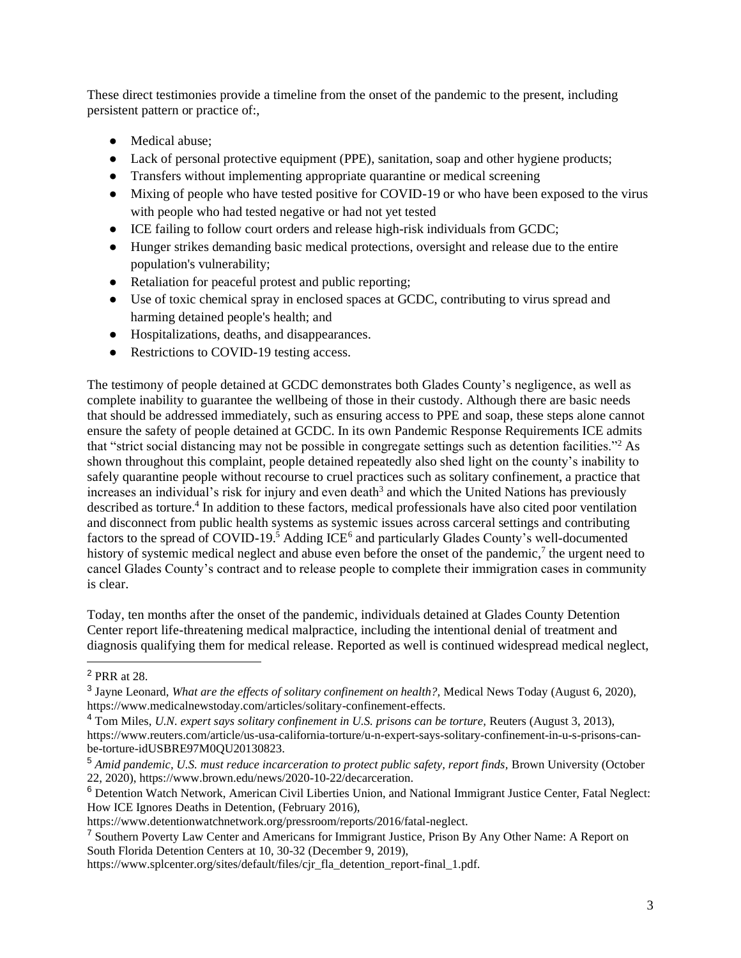These direct testimonies provide a timeline from the onset of the pandemic to the present, including persistent pattern or practice of:,

- Medical abuse;
- Lack of personal protective equipment (PPE), sanitation, soap and other hygiene products;
- Transfers without implementing appropriate quarantine or medical screening
- Mixing of people who have tested positive for COVID-19 or who have been exposed to the virus with people who had tested negative or had not yet tested
- ICE failing to follow court orders and release high-risk individuals from GCDC;
- Hunger strikes demanding basic medical protections, oversight and release due to the entire population's vulnerability;
- Retaliation for peaceful protest and public reporting;
- Use of toxic chemical spray in enclosed spaces at GCDC, contributing to virus spread and harming detained people's health; and
- Hospitalizations, deaths, and disappearances.
- Restrictions to COVID-19 testing access.

The testimony of people detained at GCDC demonstrates both Glades County's negligence, as well as complete inability to guarantee the wellbeing of those in their custody. Although there are basic needs that should be addressed immediately, such as ensuring access to PPE and soap, these steps alone cannot ensure the safety of people detained at GCDC. In its own Pandemic Response Requirements ICE admits that "strict social distancing may not be possible in congregate settings such as detention facilities."<sup>2</sup> As shown throughout this complaint, people detained repeatedly also shed light on the county's inability to safely quarantine people without recourse to cruel practices such as solitary confinement, a practice that increases an individual's risk for injury and even death<sup>3</sup> and which the United Nations has previously described as torture.<sup>4</sup> In addition to these factors, medical professionals have also cited poor ventilation and disconnect from public health systems as systemic issues across carceral settings and contributing factors to the spread of COVID-19.<sup>5</sup> Adding ICE<sup>6</sup> and particularly Glades County's well-documented history of systemic medical neglect and abuse even before the onset of the pandemic,<sup>7</sup> the urgent need to cancel Glades County's contract and to release people to complete their immigration cases in community is clear.

Today, ten months after the onset of the pandemic, individuals detained at Glades County Detention Center report life-threatening medical malpractice, including the intentional denial of treatment and diagnosis qualifying them for medical release. Reported as well is continued widespread medical neglect,

<sup>2</sup> PRR at 28.

<sup>&</sup>lt;sup>3</sup> Jayne Leonard, *What are the effects of solitary confinement on health?*, Medical News Today (August 6, 2020), https://www.medicalnewstoday.com/articles/solitary-confinement-effects.

<sup>4</sup> Tom Miles, *U.N. expert says solitary confinement in U.S. prisons can be torture,* Reuters (August 3, 2013),

https://www.reuters.com/article/us-usa-california-torture/u-n-expert-says-solitary-confinement-in-u-s-prisons-canbe-torture-idUSBRE97M0QU20130823.

<sup>&</sup>lt;sup>5</sup> Amid pandemic, U.S. must reduce incarceration to protect public safety, report finds, Brown University (October 22, 2020), https://www.brown.edu/news/2020-10-22/decarceration.

<sup>6</sup> Detention Watch Network, American Civil Liberties Union, and National Immigrant Justice Center, Fatal Neglect: How ICE Ignores Deaths in Detention, (February 2016),

https://www.detentionwatchnetwork.org/pressroom/reports/2016/fatal-neglect.

<sup>7</sup> Southern Poverty Law Center and Americans for Immigrant Justice, Prison By Any Other Name: A Report on South Florida Detention Centers at 10, 30-32 (December 9, 2019),

https://www.splcenter.org/sites/default/files/cjr\_fla\_detention\_report-final\_1.pdf.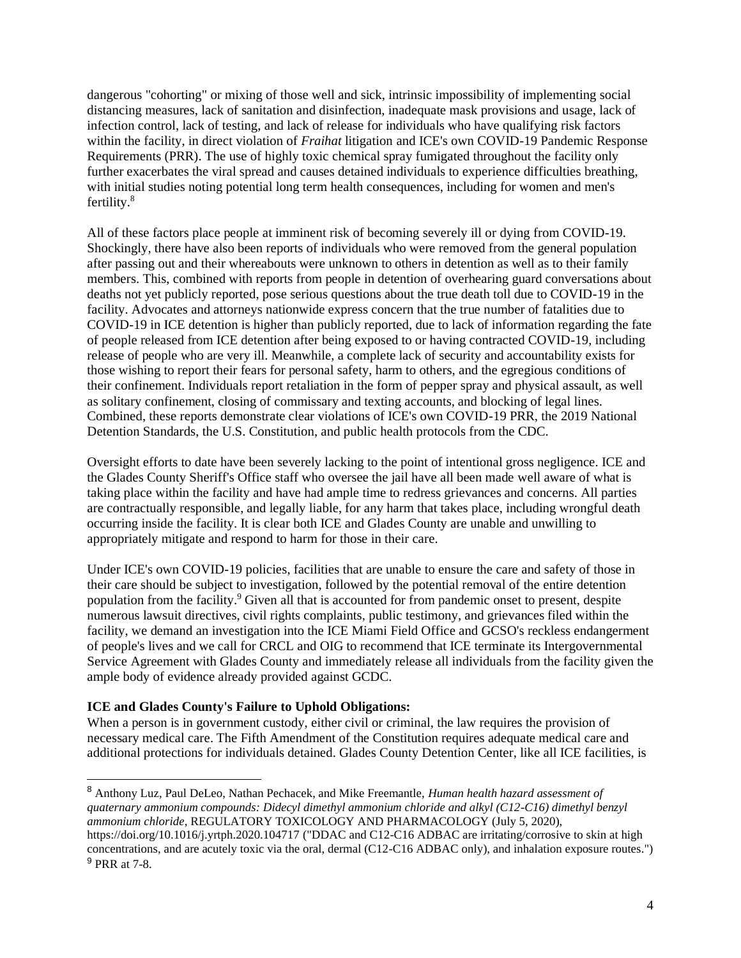dangerous "cohorting" or mixing of those well and sick, intrinsic impossibility of implementing social distancing measures, lack of sanitation and disinfection, inadequate mask provisions and usage, lack of infection control, lack of testing, and lack of release for individuals who have qualifying risk factors within the facility, in direct violation of *Fraihat* litigation and ICE's own COVID-19 Pandemic Response Requirements (PRR). The use of highly toxic chemical spray fumigated throughout the facility only further exacerbates the viral spread and causes detained individuals to experience difficulties breathing, with initial studies noting potential long term health consequences, including for women and men's fertility.<sup>8</sup>

All of these factors place people at imminent risk of becoming severely ill or dying from COVID-19. Shockingly, there have also been reports of individuals who were removed from the general population after passing out and their whereabouts were unknown to others in detention as well as to their family members. This, combined with reports from people in detention of overhearing guard conversations about deaths not yet publicly reported, pose serious questions about the true death toll due to COVID-19 in the facility. Advocates and attorneys nationwide express concern that the true number of fatalities due to COVID-19 in ICE detention is higher than publicly reported, due to lack of information regarding the fate of people released from ICE detention after being exposed to or having contracted COVID-19, including release of people who are very ill. Meanwhile, a complete lack of security and accountability exists for those wishing to report their fears for personal safety, harm to others, and the egregious conditions of their confinement. Individuals report retaliation in the form of pepper spray and physical assault, as well as solitary confinement, closing of commissary and texting accounts, and blocking of legal lines. Combined, these reports demonstrate clear violations of ICE's own COVID-19 PRR, the 2019 National Detention Standards, the U.S. Constitution, and public health protocols from the CDC.

Oversight efforts to date have been severely lacking to the point of intentional gross negligence. ICE and the Glades County Sheriff's Office staff who oversee the jail have all been made well aware of what is taking place within the facility and have had ample time to redress grievances and concerns. All parties are contractually responsible, and legally liable, for any harm that takes place, including wrongful death occurring inside the facility. It is clear both ICE and Glades County are unable and unwilling to appropriately mitigate and respond to harm for those in their care.

Under ICE's own COVID-19 policies, facilities that are unable to ensure the care and safety of those in their care should be subject to investigation, followed by the potential removal of the entire detention population from the facility.<sup>9</sup> Given all that is accounted for from pandemic onset to present, despite numerous lawsuit directives, civil rights complaints, public testimony, and grievances filed within the facility, we demand an investigation into the ICE Miami Field Office and GCSO's reckless endangerment of people's lives and we call for CRCL and OIG to recommend that ICE terminate its Intergovernmental Service Agreement with Glades County and immediately release all individuals from the facility given the ample body of evidence already provided against GCDC.

## **ICE and Glades County's Failure to Uphold Obligations:**

When a person is in government custody, either civil or criminal, the law requires the provision of necessary medical care. The Fifth Amendment of the Constitution requires adequate medical care and additional protections for individuals detained. Glades County Detention Center, like all ICE facilities, is

<sup>8</sup> Anthony Luz, Paul DeLeo, Nathan Pechacek, and Mike Freemantle, *Human health hazard assessment of quaternary ammonium compounds: Didecyl dimethyl ammonium chloride and alkyl (C12-C16) dimethyl benzyl ammonium chloride*, REGULATORY TOXICOLOGY AND PHARMACOLOGY (July 5, 2020),

https://doi.org/10.1016/j.yrtph.2020.104717 ("DDAC and C12-C16 ADBAC are irritating/corrosive to skin at high concentrations, and are acutely toxic via the oral, dermal (C12-C16 ADBAC only), and inhalation exposure routes.") <sup>9</sup> PRR at 7-8.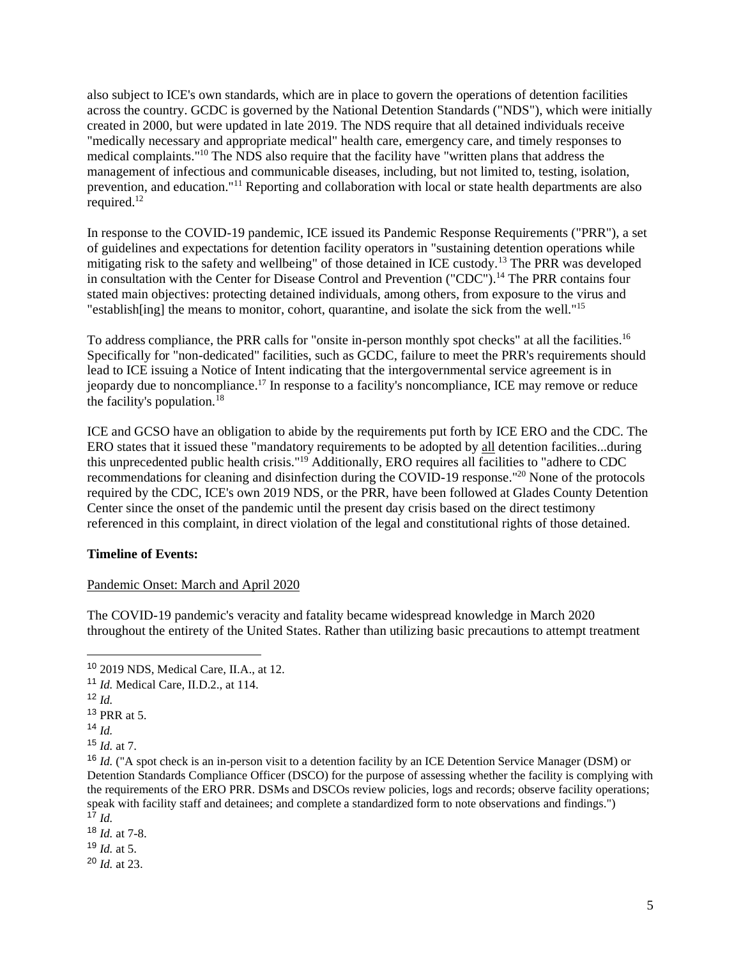also subject to ICE's own standards, which are in place to govern the operations of detention facilities across the country. GCDC is governed by the National Detention Standards ("NDS"), which were initially created in 2000, but were updated in late 2019. The NDS require that all detained individuals receive "medically necessary and appropriate medical" health care, emergency care, and timely responses to medical complaints."<sup>10</sup> The NDS also require that the facility have "written plans that address the management of infectious and communicable diseases, including, but not limited to, testing, isolation, prevention, and education."<sup>11</sup> Reporting and collaboration with local or state health departments are also required.<sup>12</sup>

In response to the COVID-19 pandemic, ICE issued its Pandemic Response Requirements ("PRR"), a set of guidelines and expectations for detention facility operators in "sustaining detention operations while mitigating risk to the safety and wellbeing" of those detained in ICE custody.<sup>13</sup> The PRR was developed in consultation with the Center for Disease Control and Prevention ("CDC").<sup>14</sup> The PRR contains four stated main objectives: protecting detained individuals, among others, from exposure to the virus and "establish [ing] the means to monitor, cohort, quarantine, and isolate the sick from the well."<sup>15</sup>

To address compliance, the PRR calls for "onsite in-person monthly spot checks" at all the facilities.<sup>16</sup> Specifically for "non-dedicated" facilities, such as GCDC, failure to meet the PRR's requirements should lead to ICE issuing a Notice of Intent indicating that the intergovernmental service agreement is in jeopardy due to noncompliance.<sup>17</sup> In response to a facility's noncompliance, ICE may remove or reduce the facility's population.<sup>18</sup>

ICE and GCSO have an obligation to abide by the requirements put forth by ICE ERO and the CDC. The ERO states that it issued these "mandatory requirements to be adopted by all detention facilities...during this unprecedented public health crisis."<sup>19</sup> Additionally, ERO requires all facilities to "adhere to CDC recommendations for cleaning and disinfection during the COVID-19 response."<sup>20</sup> None of the protocols required by the CDC, ICE's own 2019 NDS, or the PRR, have been followed at Glades County Detention Center since the onset of the pandemic until the present day crisis based on the direct testimony referenced in this complaint, in direct violation of the legal and constitutional rights of those detained.

## **Timeline of Events:**

#### Pandemic Onset: March and April 2020

The COVID-19 pandemic's veracity and fatality became widespread knowledge in March 2020 throughout the entirety of the United States. Rather than utilizing basic precautions to attempt treatment

- <sup>18</sup> *Id.* at 7-8.
- $19$  *Id.* at 5.
- <sup>20</sup> *Id.* at 23.

<sup>10</sup> 2019 NDS, Medical Care, II.A., at 12.

<sup>11</sup> *Id.* Medical Care, II.D.2., at 114.

 $12$  *Id.* 

<sup>13</sup> PRR at 5.

 $14$  *Id*.

<sup>15</sup> *Id.* at 7.

<sup>&</sup>lt;sup>16</sup> *Id.* ("A spot check is an in-person visit to a detention facility by an ICE Detention Service Manager (DSM) or Detention Standards Compliance Officer (DSCO) for the purpose of assessing whether the facility is complying with the requirements of the ERO PRR. DSMs and DSCOs review policies, logs and records; observe facility operations; speak with facility staff and detainees; and complete a standardized form to note observations and findings.")  $\int_{17}^{17}$  *Id.*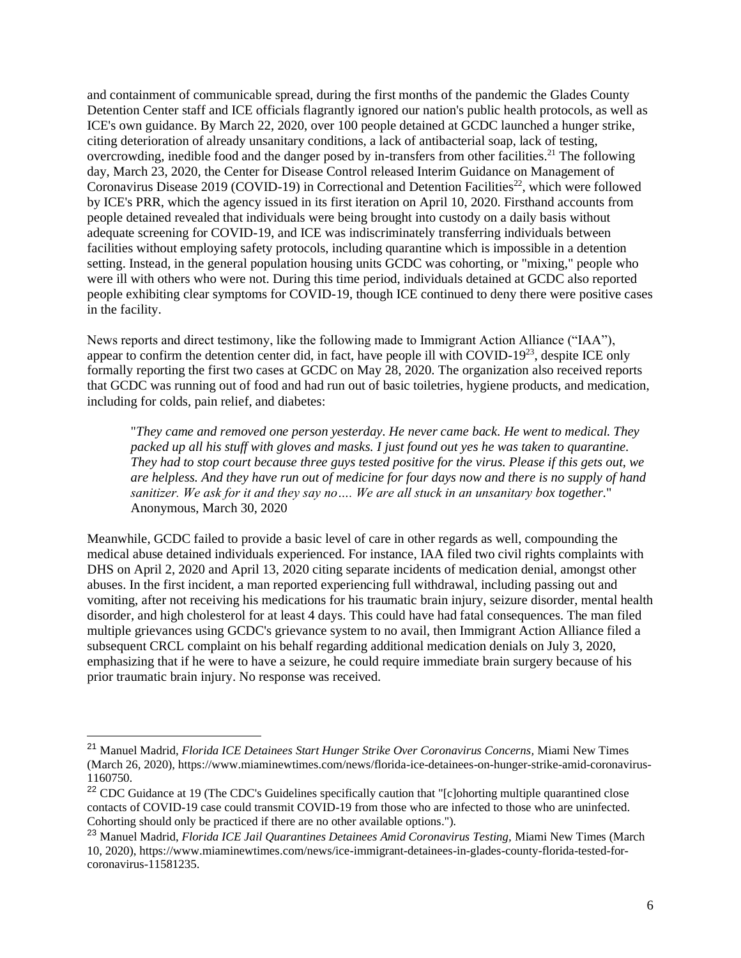and containment of communicable spread, during the first months of the pandemic the Glades County Detention Center staff and ICE officials flagrantly ignored our nation's public health protocols, as well as ICE's own guidance. By March 22, 2020, over 100 people detained at GCDC launched a hunger strike, citing deterioration of already unsanitary conditions, a lack of antibacterial soap, lack of testing, overcrowding, inedible food and the danger posed by in-transfers from other facilities.<sup>21</sup> The following day, March 23, 2020, the Center for Disease Control released Interim Guidance on Management of Coronavirus Disease 2019 (COVID-19) in Correctional and Detention Facilities<sup>22</sup>, which were followed by ICE's PRR, which the agency issued in its first iteration on April 10, 2020. Firsthand accounts from people detained revealed that individuals were being brought into custody on a daily basis without adequate screening for COVID-19, and ICE was indiscriminately transferring individuals between facilities without employing safety protocols, including quarantine which is impossible in a detention setting. Instead, in the general population housing units GCDC was cohorting, or "mixing," people who were ill with others who were not. During this time period, individuals detained at GCDC also reported people exhibiting clear symptoms for COVID-19, though ICE continued to deny there were positive cases in the facility.

News reports and direct testimony, like the following made to Immigrant Action Alliance ("IAA"), appear to confirm the detention center did, in fact, have people ill with COVID-19<sup>23</sup>, despite ICE only formally reporting the first two cases at GCDC on May 28, 2020. The organization also received reports that GCDC was running out of food and had run out of basic toiletries, hygiene products, and medication, including for colds, pain relief, and diabetes:

"*They came and removed one person yesterday. He never came back. He went to medical. They packed up all his stuff with gloves and masks. I just found out yes he was taken to quarantine. They had to stop court because three guys tested positive for the virus. Please if this gets out, we are helpless. And they have run out of medicine for four days now and there is no supply of hand sanitizer. We ask for it and they say no…. We are all stuck in an unsanitary box together.*" Anonymous, March 30, 2020

Meanwhile, GCDC failed to provide a basic level of care in other regards as well, compounding the medical abuse detained individuals experienced. For instance, IAA filed two civil rights complaints with DHS on April 2, 2020 and April 13, 2020 citing separate incidents of medication denial, amongst other abuses. In the first incident, a man reported experiencing full withdrawal, including passing out and vomiting, after not receiving his medications for his traumatic brain injury, seizure disorder, mental health disorder, and high cholesterol for at least 4 days. This could have had fatal consequences. The man filed multiple grievances using GCDC's grievance system to no avail, then Immigrant Action Alliance filed a subsequent CRCL complaint on his behalf regarding additional medication denials on July 3, 2020, emphasizing that if he were to have a seizure, he could require immediate brain surgery because of his prior traumatic brain injury. No response was received.

<sup>21</sup> Manuel Madrid, *Florida ICE Detainees Start Hunger Strike Over Coronavirus Concerns,* Miami New Times (March 26, 2020), https://www.miaminewtimes.com/news/florida-ice-detainees-on-hunger-strike-amid-coronavirus-1160750.

<sup>&</sup>lt;sup>22</sup> CDC Guidance at 19 (The CDC's Guidelines specifically caution that "[c]ohorting multiple quarantined close contacts of COVID-19 case could transmit COVID-19 from those who are infected to those who are uninfected. Cohorting should only be practiced if there are no other available options.").

<sup>&</sup>lt;sup>23</sup> Manuel Madrid, *Florida ICE Jail Quarantines Detainees Amid Coronavirus Testing*, Miami New Times (March 10, 2020), https://www.miaminewtimes.com/news/ice-immigrant-detainees-in-glades-county-florida-tested-forcoronavirus-11581235.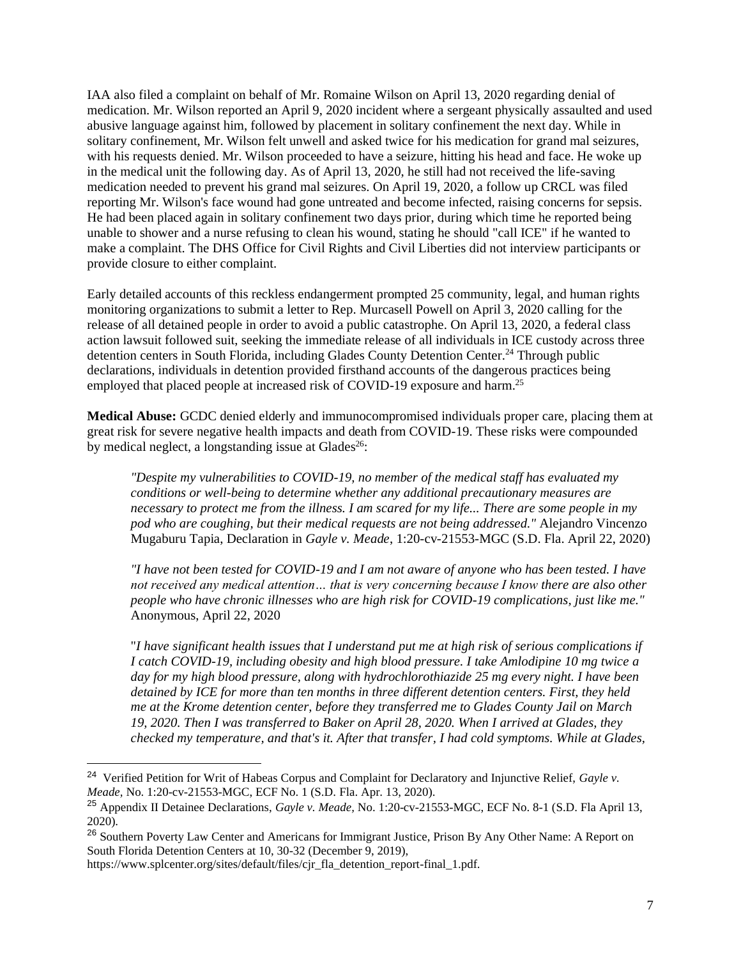IAA also filed a complaint on behalf of Mr. Romaine Wilson on April 13, 2020 regarding denial of medication. Mr. Wilson reported an April 9, 2020 incident where a sergeant physically assaulted and used abusive language against him, followed by placement in solitary confinement the next day. While in solitary confinement, Mr. Wilson felt unwell and asked twice for his medication for grand mal seizures, with his requests denied. Mr. Wilson proceeded to have a seizure, hitting his head and face. He woke up in the medical unit the following day. As of April 13, 2020, he still had not received the life-saving medication needed to prevent his grand mal seizures. On April 19, 2020, a follow up CRCL was filed reporting Mr. Wilson's face wound had gone untreated and become infected, raising concerns for sepsis. He had been placed again in solitary confinement two days prior, during which time he reported being unable to shower and a nurse refusing to clean his wound, stating he should "call ICE" if he wanted to make a complaint. The DHS Office for Civil Rights and Civil Liberties did not interview participants or provide closure to either complaint.

Early detailed accounts of this reckless endangerment prompted 25 community, legal, and human rights monitoring organizations to submit a letter to Rep. Murcasell Powell on April 3, 2020 calling for the release of all detained people in order to avoid a public catastrophe. On April 13, 2020, a federal class action lawsuit followed suit, seeking the immediate release of all individuals in ICE custody across three detention centers in South Florida, including Glades County Detention Center.<sup>24</sup> Through public declarations, individuals in detention provided firsthand accounts of the dangerous practices being employed that placed people at increased risk of COVID-19 exposure and harm.<sup>25</sup>

**Medical Abuse:** GCDC denied elderly and immunocompromised individuals proper care, placing them at great risk for severe negative health impacts and death from COVID-19. These risks were compounded by medical neglect, a longstanding issue at Glades<sup>26</sup>:

*"Despite my vulnerabilities to COVID-19, no member of the medical staff has evaluated my conditions or well-being to determine whether any additional precautionary measures are necessary to protect me from the illness. I am scared for my life... There are some people in my pod who are coughing, but their medical requests are not being addressed."* Alejandro Vincenzo Mugaburu Tapia, Declaration in *Gayle v. Meade*, 1:20-cv-21553-MGC (S.D. Fla. April 22, 2020)

*"I have not been tested for COVID-19 and I am not aware of anyone who has been tested. I have not received any medical attention… that is very concerning because I know there are also other people who have chronic illnesses who are high risk for COVID-19 complications, just like me."*  Anonymous, April 22, 2020

"*I have significant health issues that I understand put me at high risk of serious complications if I catch COVID-19, including obesity and high blood pressure. I take Amlodipine 10 mg twice a day for my high blood pressure, along with hydrochlorothiazide 25 mg every night. I have been detained by ICE for more than ten months in three different detention centers. First, they held me at the Krome detention center, before they transferred me to Glades County Jail on March 19, 2020. Then I was transferred to Baker on April 28, 2020. When I arrived at Glades, they checked my temperature, and that's it. After that transfer, I had cold symptoms. While at Glades,* 

<sup>24</sup> Verified Petition for Writ of Habeas Corpus and Complaint for Declaratory and Injunctive Relief, *Gayle v. Meade,* No. 1:20-cv-21553-MGC, ECF No. 1 (S.D. Fla. Apr. 13, 2020).

<sup>25</sup> Appendix II Detainee Declarations, *Gayle v. Meade,* No. 1:20-cv-21553-MGC, ECF No. 8-1 (S.D. Fla April 13, 2020).

<sup>&</sup>lt;sup>26</sup> Southern Poverty Law Center and Americans for Immigrant Justice, Prison By Any Other Name: A Report on South Florida Detention Centers at 10, 30-32 (December 9, 2019),

https://www.splcenter.org/sites/default/files/cjr\_fla\_detention\_report-final\_1.pdf.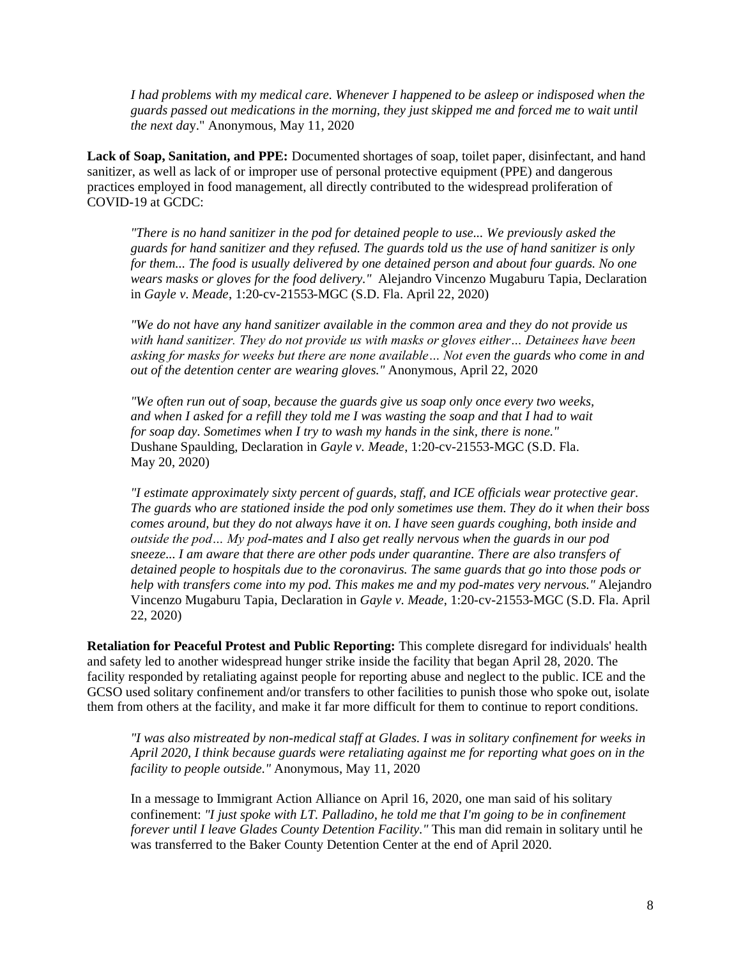I had problems with my medical care. Whenever I happened to be asleep or indisposed when the *guards passed out medications in the morning, they just skipped me and forced me to wait until the next da*y." Anonymous, May 11, 2020

**Lack of Soap, Sanitation, and PPE:** Documented shortages of soap, toilet paper, disinfectant, and hand sanitizer, as well as lack of or improper use of personal protective equipment (PPE) and dangerous practices employed in food management, all directly contributed to the widespread proliferation of COVID-19 at GCDC:

*"There is no hand sanitizer in the pod for detained people to use... We previously asked the guards for hand sanitizer and they refused. The guards told us the use of hand sanitizer is only for them... The food is usually delivered by one detained person and about four guards. No one wears masks or gloves for the food delivery."* Alejandro Vincenzo Mugaburu Tapia, Declaration in *Gayle v. Meade*, 1:20-cv-21553-MGC (S.D. Fla. April 22, 2020)

*"We do not have any hand sanitizer available in the common area and they do not provide us with hand sanitizer. They do not provide us with masks or gloves either… Detainees have been asking for masks for weeks but there are none available… Not even the guards who come in and out of the detention center are wearing gloves."* Anonymous, April 22, 2020

*"We often run out of soap, because the guards give us soap only once every two weeks, and when I asked for a refill they told me I was wasting the soap and that I had to wait for soap day. Sometimes when I try to wash my hands in the sink, there is none."*  Dushane Spaulding, Declaration in *Gayle v. Meade*, 1:20-cv-21553-MGC (S.D. Fla. May 20, 2020)

*"I estimate approximately sixty percent of guards, staff, and ICE officials wear protective gear. The guards who are stationed inside the pod only sometimes use them. They do it when their boss comes around, but they do not always have it on. I have seen guards coughing, both inside and outside the pod… My pod-mates and I also get really nervous when the guards in our pod sneeze... I am aware that there are other pods under quarantine. There are also transfers of detained people to hospitals due to the coronavirus. The same guards that go into those pods or help with transfers come into my pod. This makes me and my pod-mates very nervous."* Alejandro Vincenzo Mugaburu Tapia, Declaration in *Gayle v. Meade*, 1:20-cv-21553-MGC (S.D. Fla. April 22, 2020)

**Retaliation for Peaceful Protest and Public Reporting:** This complete disregard for individuals' health and safety led to another widespread hunger strike inside the facility that began April 28, 2020. The facility responded by retaliating against people for reporting abuse and neglect to the public. ICE and the GCSO used solitary confinement and/or transfers to other facilities to punish those who spoke out, isolate them from others at the facility, and make it far more difficult for them to continue to report conditions.

*"I was also mistreated by non-medical staff at Glades. I was in solitary confinement for weeks in April 2020, I think because guards were retaliating against me for reporting what goes on in the facility to people outside."* Anonymous, May 11, 2020

In a message to Immigrant Action Alliance on April 16, 2020, one man said of his solitary confinement: *"I just spoke with LT. Palladino, he told me that I'm going to be in confinement forever until I leave Glades County Detention Facility."* This man did remain in solitary until he was transferred to the Baker County Detention Center at the end of April 2020.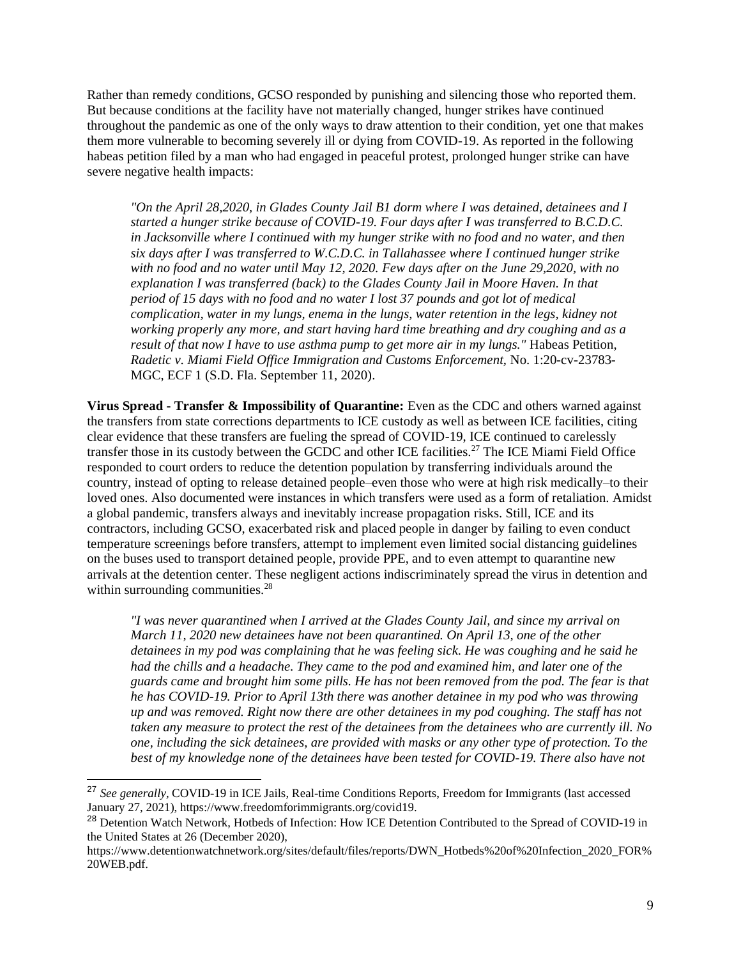Rather than remedy conditions, GCSO responded by punishing and silencing those who reported them. But because conditions at the facility have not materially changed, hunger strikes have continued throughout the pandemic as one of the only ways to draw attention to their condition, yet one that makes them more vulnerable to becoming severely ill or dying from COVID-19. As reported in the following habeas petition filed by a man who had engaged in peaceful protest, prolonged hunger strike can have severe negative health impacts:

*"On the April 28,2020, in Glades County Jail B1 dorm where I was detained, detainees and I started a hunger strike because of COVID-19. Four days after I was transferred to B.C.D.C. in Jacksonville where I continued with my hunger strike with no food and no water, and then six days after I was transferred to W.C.D.C. in Tallahassee where I continued hunger strike with no food and no water until May 12, 2020. Few days after on the June 29,2020, with no explanation I was transferred (back) to the Glades County Jail in Moore Haven. In that period of 15 days with no food and no water I lost 37 pounds and got lot of medical complication, water in my lungs, enema in the lungs, water retention in the legs, kidney not working properly any more, and start having hard time breathing and dry coughing and as a result of that now I have to use asthma pump to get more air in my lungs."* Habeas Petition, *Radetic v. Miami Field Office Immigration and Customs Enforcement,* No. 1:20-cv-23783- MGC, ECF 1 (S.D. Fla. September 11, 2020).

**Virus Spread - Transfer & Impossibility of Quarantine:** Even as the CDC and others warned against the transfers from state corrections departments to ICE custody as well as between ICE facilities, citing clear evidence that these transfers are fueling the spread of COVID-19, ICE continued to carelessly transfer those in its custody between the GCDC and other ICE facilities.<sup>27</sup> The ICE Miami Field Office responded to court orders to reduce the detention population by transferring individuals around the country, instead of opting to release detained people–even those who were at high risk medically–to their loved ones. Also documented were instances in which transfers were used as a form of retaliation. Amidst a global pandemic, transfers always and inevitably increase propagation risks. Still, ICE and its contractors, including GCSO, exacerbated risk and placed people in danger by failing to even conduct temperature screenings before transfers, attempt to implement even limited social distancing guidelines on the buses used to transport detained people, provide PPE, and to even attempt to quarantine new arrivals at the detention center. These negligent actions indiscriminately spread the virus in detention and within surrounding communities.<sup>28</sup>

*"I was never quarantined when I arrived at the Glades County Jail, and since my arrival on March 11, 2020 new detainees have not been quarantined. On April 13, one of the other detainees in my pod was complaining that he was feeling sick. He was coughing and he said he had the chills and a headache. They came to the pod and examined him, and later one of the guards came and brought him some pills. He has not been removed from the pod. The fear is that he has COVID-19. Prior to April 13th there was another detainee in my pod who was throwing up and was removed. Right now there are other detainees in my pod coughing. The staff has not taken any measure to protect the rest of the detainees from the detainees who are currently ill. No one, including the sick detainees, are provided with masks or any other type of protection. To the best of my knowledge none of the detainees have been tested for COVID-19. There also have not* 

<sup>27</sup> *See generally,* COVID-19 in ICE Jails, Real-time Conditions Reports, Freedom for Immigrants (last accessed January 27, 2021), https://www.freedomforimmigrants.org/covid19.

<sup>&</sup>lt;sup>28</sup> Detention Watch Network, Hotbeds of Infection: How ICE Detention Contributed to the Spread of COVID-19 in the United States at 26 (December 2020),

https://www.detentionwatchnetwork.org/sites/default/files/reports/DWN\_Hotbeds%20of%20Infection\_2020\_FOR% 20WEB.pdf.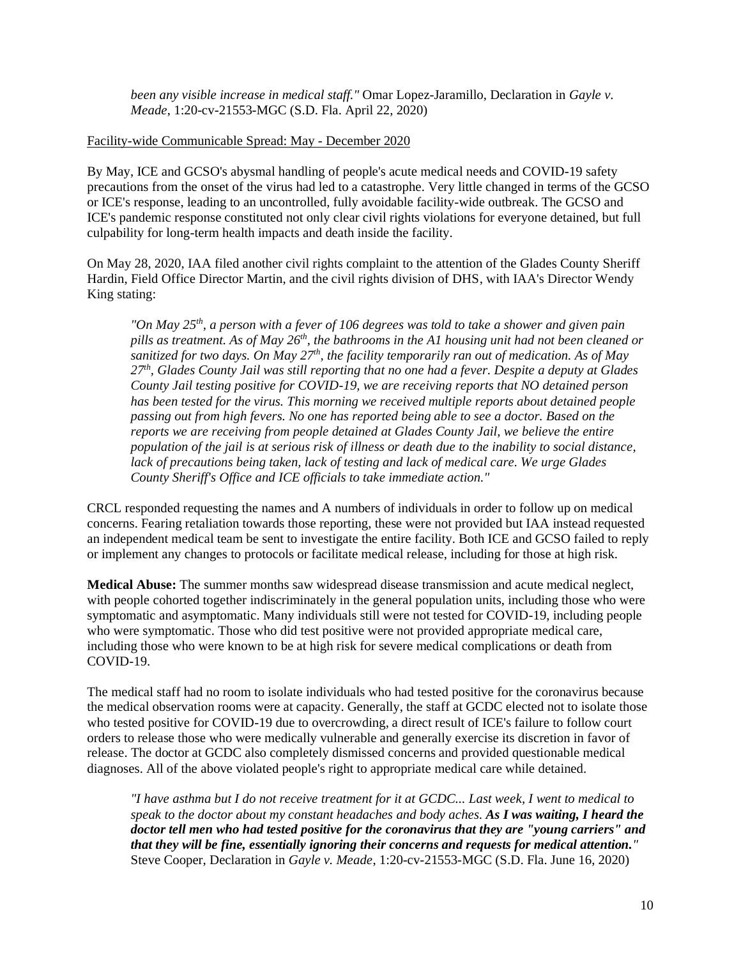*been any visible increase in medical staff."* Omar Lopez-Jaramillo, Declaration in *Gayle v. Meade*, 1:20-cv-21553-MGC (S.D. Fla. April 22, 2020)

#### Facility-wide Communicable Spread: May - December 2020

By May, ICE and GCSO's abysmal handling of people's acute medical needs and COVID-19 safety precautions from the onset of the virus had led to a catastrophe. Very little changed in terms of the GCSO or ICE's response, leading to an uncontrolled, fully avoidable facility-wide outbreak. The GCSO and ICE's pandemic response constituted not only clear civil rights violations for everyone detained, but full culpability for long-term health impacts and death inside the facility.

On May 28, 2020, IAA filed another civil rights complaint to the attention of the Glades County Sheriff Hardin, Field Office Director Martin, and the civil rights division of DHS, with IAA's Director Wendy King stating:

*"On May 25th, a person with a fever of 106 degrees was told to take a shower and given pain*  pills as treatment. As of May 26<sup>th</sup>, the bathrooms in the A1 housing unit had not been cleaned or *sanitized for two days. On May 27th, the facility temporarily ran out of medication. As of May 27th, Glades County Jail was still reporting that no one had a fever. Despite a deputy at Glades County Jail testing positive for COVID-19, we are receiving reports that NO detained person has been tested for the virus. This morning we received multiple reports about detained people passing out from high fevers. No one has reported being able to see a doctor. Based on the reports we are receiving from people detained at Glades County Jail, we believe the entire population of the jail is at serious risk of illness or death due to the inability to social distance, lack of precautions being taken, lack of testing and lack of medical care. We urge Glades County Sheriff's Office and ICE officials to take immediate action."* 

CRCL responded requesting the names and A numbers of individuals in order to follow up on medical concerns. Fearing retaliation towards those reporting, these were not provided but IAA instead requested an independent medical team be sent to investigate the entire facility. Both ICE and GCSO failed to reply or implement any changes to protocols or facilitate medical release, including for those at high risk.

**Medical Abuse:** The summer months saw widespread disease transmission and acute medical neglect, with people cohorted together indiscriminately in the general population units, including those who were symptomatic and asymptomatic. Many individuals still were not tested for COVID-19, including people who were symptomatic. Those who did test positive were not provided appropriate medical care, including those who were known to be at high risk for severe medical complications or death from COVID-19.

The medical staff had no room to isolate individuals who had tested positive for the coronavirus because the medical observation rooms were at capacity. Generally, the staff at GCDC elected not to isolate those who tested positive for COVID-19 due to overcrowding, a direct result of ICE's failure to follow court orders to release those who were medically vulnerable and generally exercise its discretion in favor of release. The doctor at GCDC also completely dismissed concerns and provided questionable medical diagnoses. All of the above violated people's right to appropriate medical care while detained.

*"I have asthma but I do not receive treatment for it at GCDC... Last week, I went to medical to speak to the doctor about my constant headaches and body aches. As I was waiting, I heard the doctor tell men who had tested positive for the coronavirus that they are "young carriers" and that they will be fine, essentially ignoring their concerns and requests for medical attention."*  Steve Cooper, Declaration in *Gayle v. Meade*, 1:20-cv-21553-MGC (S.D. Fla. June 16, 2020)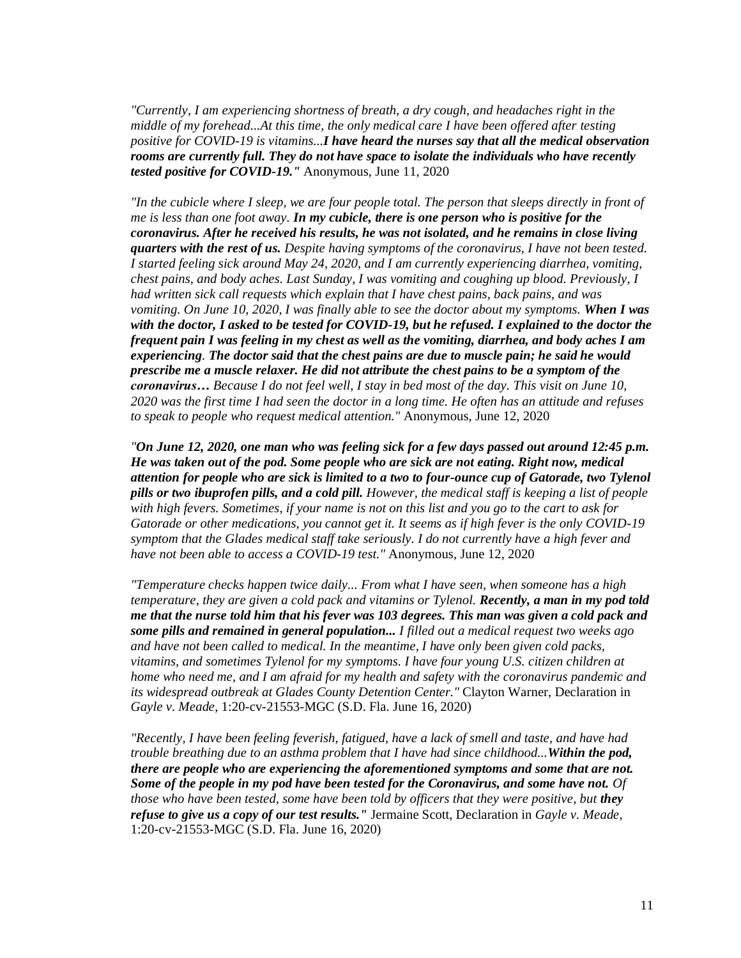*"Currently, I am experiencing shortness of breath, a dry cough, and headaches right in the middle of my forehead...At this time, the only medical care I have been offered after testing positive for COVID-19 is vitamins...I have heard the nurses say that all the medical observation rooms are currently full. They do not have space to isolate the individuals who have recently tested positive for COVID-19."* Anonymous, June 11, 2020

*"In the cubicle where I sleep, we are four people total. The person that sleeps directly in front of me is less than one foot away. In my cubicle, there is one person who is positive for the coronavirus. After he received his results, he was not isolated, and he remains in close living quarters with the rest of us. Despite having symptoms of the coronavirus, I have not been tested. I started feeling sick around May 24, 2020, and I am currently experiencing diarrhea, vomiting, chest pains, and body aches. Last Sunday, I was vomiting and coughing up blood. Previously, I had written sick call requests which explain that I have chest pains, back pains, and was vomiting. On June 10, 2020, I was finally able to see the doctor about my symptoms. When I was with the doctor, I asked to be tested for COVID-19, but he refused. I explained to the doctor the frequent pain I was feeling in my chest as well as the vomiting, diarrhea, and body aches I am experiencing. The doctor said that the chest pains are due to muscle pain; he said he would prescribe me a muscle relaxer. He did not attribute the chest pains to be a symptom of the coronavirus… Because I do not feel well, I stay in bed most of the day. This visit on June 10, 2020 was the first time I had seen the doctor in a long time. He often has an attitude and refuses to speak to people who request medical attention."* Anonymous, June 12, 2020

*"On June 12, 2020, one man who was feeling sick for a few days passed out around 12:45 p.m. He was taken out of the pod. Some people who are sick are not eating. Right now, medical attention for people who are sick is limited to a two to four-ounce cup of Gatorade, two Tylenol pills or two ibuprofen pills, and a cold pill. However, the medical staff is keeping a list of people with high fevers. Sometimes, if your name is not on this list and you go to the cart to ask for Gatorade or other medications, you cannot get it. It seems as if high fever is the only COVID-19 symptom that the Glades medical staff take seriously. I do not currently have a high fever and have not been able to access a COVID-19 test."* Anonymous, June 12, 2020

*"Temperature checks happen twice daily... From what I have seen, when someone has a high temperature, they are given a cold pack and vitamins or Tylenol. Recently, a man in my pod told me that the nurse told him that his fever was 103 degrees. This man was given a cold pack and some pills and remained in general population... I filled out a medical request two weeks ago and have not been called to medical. In the meantime, I have only been given cold packs, vitamins, and sometimes Tylenol for my symptoms. I have four young U.S. citizen children at home who need me, and I am afraid for my health and safety with the coronavirus pandemic and its widespread outbreak at Glades County Detention Center."* Clayton Warner, Declaration in *Gayle v. Meade*, 1:20-cv-21553-MGC (S.D. Fla. June 16, 2020)

*"Recently, I have been feeling feverish, fatigued, have a lack of smell and taste, and have had trouble breathing due to an asthma problem that I have had since childhood...Within the pod, there are people who are experiencing the aforementioned symptoms and some that are not. Some of the people in my pod have been tested for the Coronavirus, and some have not. Of those who have been tested, some have been told by officers that they were positive, but they refuse to give us a copy of our test results."* Jermaine Scott, Declaration in *Gayle v. Meade*, 1:20-cv-21553-MGC (S.D. Fla. June 16, 2020)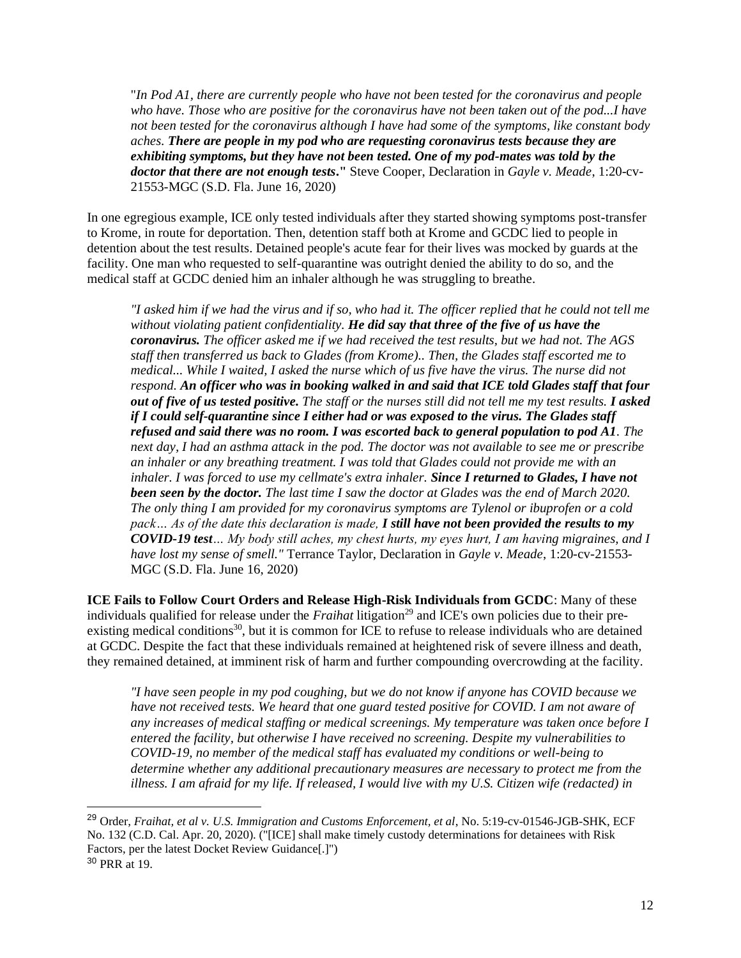"*In Pod A1, there are currently people who have not been tested for the coronavirus and people who have. Those who are positive for the coronavirus have not been taken out of the pod...I have not been tested for the coronavirus although I have had some of the symptoms, like constant body aches. There are people in my pod who are requesting coronavirus tests because they are exhibiting symptoms, but they have not been tested. One of my pod-mates was told by the doctor that there are not enough tests***."** Steve Cooper, Declaration in *Gayle v. Meade*, 1:20-cv-21553-MGC (S.D. Fla. June 16, 2020)

In one egregious example, ICE only tested individuals after they started showing symptoms post-transfer to Krome, in route for deportation. Then, detention staff both at Krome and GCDC lied to people in detention about the test results. Detained people's acute fear for their lives was mocked by guards at the facility. One man who requested to self-quarantine was outright denied the ability to do so, and the medical staff at GCDC denied him an inhaler although he was struggling to breathe.

*"I asked him if we had the virus and if so, who had it. The officer replied that he could not tell me without violating patient confidentiality. He did say that three of the five of us have the coronavirus. The officer asked me if we had received the test results, but we had not. The AGS staff then transferred us back to Glades (from Krome).. Then, the Glades staff escorted me to medical... While I waited, I asked the nurse which of us five have the virus. The nurse did not respond. An officer who was in booking walked in and said that ICE told Glades staff that four out of five of us tested positive. The staff or the nurses still did not tell me my test results. I asked if I could self-quarantine since I either had or was exposed to the virus. The Glades staff refused and said there was no room. I was escorted back to general population to pod A1. The next day, I had an asthma attack in the pod. The doctor was not available to see me or prescribe an inhaler or any breathing treatment. I was told that Glades could not provide me with an inhaler. I was forced to use my cellmate's extra inhaler. Since I returned to Glades, I have not been seen by the doctor. The last time I saw the doctor at Glades was the end of March 2020. The only thing I am provided for my coronavirus symptoms are Tylenol or ibuprofen or a cold pack… As of the date this declaration is made, I still have not been provided the results to my COVID-19 test… My body still aches, my chest hurts, my eyes hurt, I am having migraines, and I have lost my sense of smell."* Terrance Taylor, Declaration in *Gayle v. Meade*, 1:20-cv-21553- MGC (S.D. Fla. June 16, 2020)

**ICE Fails to Follow Court Orders and Release High-Risk Individuals from GCDC**: Many of these individuals qualified for release under the *Fraihat* litigation<sup>29</sup> and ICE's own policies due to their preexisting medical conditions<sup>30</sup>, but it is common for ICE to refuse to release individuals who are detained at GCDC. Despite the fact that these individuals remained at heightened risk of severe illness and death, they remained detained, at imminent risk of harm and further compounding overcrowding at the facility.

*"I have seen people in my pod coughing, but we do not know if anyone has COVID because we*  have not received tests. We heard that one guard tested positive for COVID. I am not aware of *any increases of medical staffing or medical screenings. My temperature was taken once before I entered the facility, but otherwise I have received no screening. Despite my vulnerabilities to COVID-19, no member of the medical staff has evaluated my conditions or well-being to determine whether any additional precautionary measures are necessary to protect me from the illness. I am afraid for my life. If released, I would live with my U.S. Citizen wife (redacted) in* 

<sup>&</sup>lt;sup>29</sup> Order, *Fraihat, et al v. U.S. Immigration and Customs Enforcement, et al*, No. 5:19-cv-01546-JGB-SHK, ECF No. 132 (C.D. Cal. Apr. 20, 2020). ("[ICE] shall make timely custody determinations for detainees with Risk Factors, per the latest Docket Review Guidance[.]") <sup>30</sup> PRR at 19.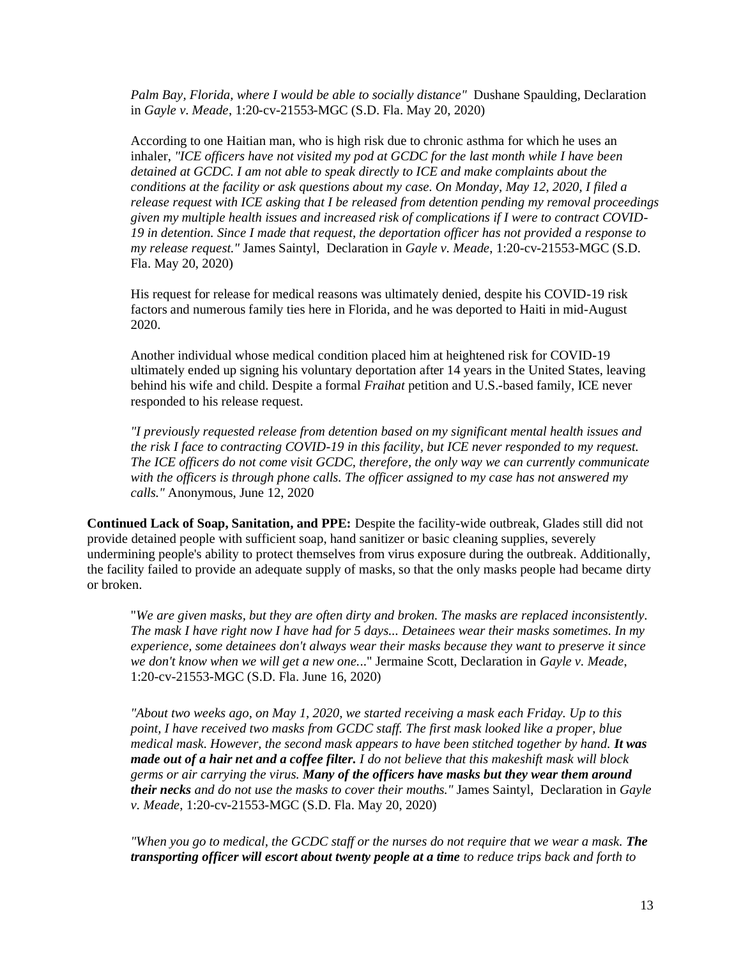Palm Bay, Florida, where I would be able to socially distance" Dushane Spaulding, Declaration in *Gayle v. Meade*, 1:20-cv-21553-MGC (S.D. Fla. May 20, 2020)

According to one Haitian man, who is high risk due to chronic asthma for which he uses an inhaler, *"ICE officers have not visited my pod at GCDC for the last month while I have been detained at GCDC. I am not able to speak directly to ICE and make complaints about the conditions at the facility or ask questions about my case. On Monday, May 12, 2020, I filed a release request with ICE asking that I be released from detention pending my removal proceedings given my multiple health issues and increased risk of complications if I were to contract COVID-19 in detention. Since I made that request, the deportation officer has not provided a response to my release request."* James Saintyl, Declaration in *Gayle v. Meade*, 1:20-cv-21553-MGC (S.D. Fla. May 20, 2020)

His request for release for medical reasons was ultimately denied, despite his COVID-19 risk factors and numerous family ties here in Florida, and he was deported to Haiti in mid-August 2020.

Another individual whose medical condition placed him at heightened risk for COVID-19 ultimately ended up signing his voluntary deportation after 14 years in the United States, leaving behind his wife and child. Despite a formal *Fraihat* petition and U.S.-based family, ICE never responded to his release request.

*"I previously requested release from detention based on my significant mental health issues and the risk I face to contracting COVID-19 in this facility, but ICE never responded to my request. The ICE officers do not come visit GCDC, therefore, the only way we can currently communicate with the officers is through phone calls. The officer assigned to my case has not answered my calls."* Anonymous, June 12, 2020

**Continued Lack of Soap, Sanitation, and PPE:** Despite the facility-wide outbreak, Glades still did not provide detained people with sufficient soap, hand sanitizer or basic cleaning supplies, severely undermining people's ability to protect themselves from virus exposure during the outbreak. Additionally, the facility failed to provide an adequate supply of masks, so that the only masks people had became dirty or broken.

"*We are given masks, but they are often dirty and broken. The masks are replaced inconsistently. The mask I have right now I have had for 5 days... Detainees wear their masks sometimes. In my experience, some detainees don't always wear their masks because they want to preserve it since we don't know when we will get a new one.*.." Jermaine Scott, Declaration in *Gayle v. Meade*, 1:20-cv-21553-MGC (S.D. Fla. June 16, 2020)

*"About two weeks ago, on May 1, 2020, we started receiving a mask each Friday. Up to this point, I have received two masks from GCDC staff. The first mask looked like a proper, blue medical mask. However, the second mask appears to have been stitched together by hand. It was made out of a hair net and a coffee filter. I do not believe that this makeshift mask will block germs or air carrying the virus. Many of the officers have masks but they wear them around their necks and do not use the masks to cover their mouths."* James Saintyl, Declaration in *Gayle v. Meade*, 1:20-cv-21553-MGC (S.D. Fla. May 20, 2020)

*"When you go to medical, the GCDC staff or the nurses do not require that we wear a mask. The transporting officer will escort about twenty people at a time to reduce trips back and forth to*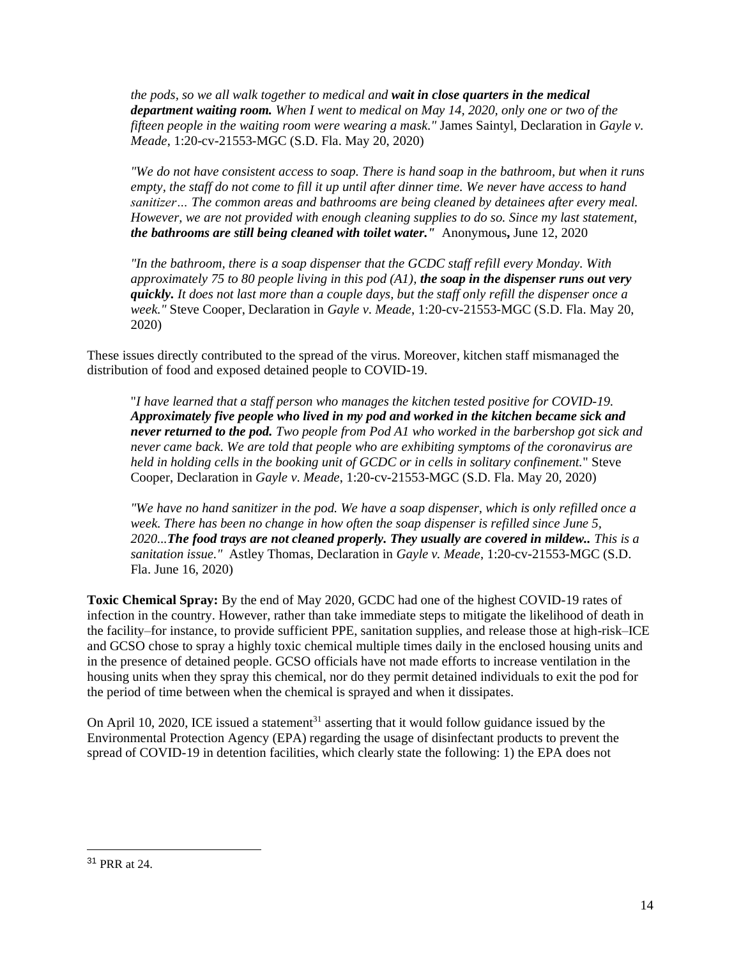*the pods, so we all walk together to medical and wait in close quarters in the medical department waiting room. When I went to medical on May 14, 2020, only one or two of the fifteen people in the waiting room were wearing a mask."* James Saintyl, Declaration in *Gayle v. Meade*, 1:20-cv-21553-MGC (S.D. Fla. May 20, 2020)

*"We do not have consistent access to soap. There is hand soap in the bathroom, but when it runs empty, the staff do not come to fill it up until after dinner time. We never have access to hand sanitizer… The common areas and bathrooms are being cleaned by detainees after every meal. However, we are not provided with enough cleaning supplies to do so. Since my last statement, the bathrooms are still being cleaned with toilet water."*Anonymous**,** June 12, 2020

*"In the bathroom, there is a soap dispenser that the GCDC staff refill every Monday. With approximately 75 to 80 people living in this pod (A1), the soap in the dispenser runs out very quickly. It does not last more than a couple days, but the staff only refill the dispenser once a week."* Steve Cooper, Declaration in *Gayle v. Meade*, 1:20-cv-21553-MGC (S.D. Fla. May 20, 2020)

These issues directly contributed to the spread of the virus. Moreover, kitchen staff mismanaged the distribution of food and exposed detained people to COVID-19.

"*I have learned that a staff person who manages the kitchen tested positive for COVID-19. Approximately five people who lived in my pod and worked in the kitchen became sick and never returned to the pod. Two people from Pod A1 who worked in the barbershop got sick and never came back. We are told that people who are exhibiting symptoms of the coronavirus are held in holding cells in the booking unit of GCDC or in cells in solitary confinement.*" Steve Cooper, Declaration in *Gayle v. Meade*, 1:20-cv-21553-MGC (S.D. Fla. May 20, 2020)

*"We have no hand sanitizer in the pod. We have a soap dispenser, which is only refilled once a week. There has been no change in how often the soap dispenser is refilled since June 5, 2020...The food trays are not cleaned properly. They usually are covered in mildew.. This is a sanitation issue."* Astley Thomas, Declaration in *Gayle v. Meade*, 1:20-cv-21553-MGC (S.D. Fla. June 16, 2020)

**Toxic Chemical Spray:** By the end of May 2020, GCDC had one of the highest COVID-19 rates of infection in the country. However, rather than take immediate steps to mitigate the likelihood of death in the facility–for instance, to provide sufficient PPE, sanitation supplies, and release those at high-risk–ICE and GCSO chose to spray a highly toxic chemical multiple times daily in the enclosed housing units and in the presence of detained people. GCSO officials have not made efforts to increase ventilation in the housing units when they spray this chemical, nor do they permit detained individuals to exit the pod for the period of time between when the chemical is sprayed and when it dissipates.

On April 10, 2020, ICE issued a statement<sup>31</sup> asserting that it would follow guidance issued by the Environmental Protection Agency (EPA) regarding the usage of disinfectant products to prevent the spread of COVID-19 in detention facilities, which clearly state the following: 1) the EPA does not

<sup>31</sup> PRR at 24.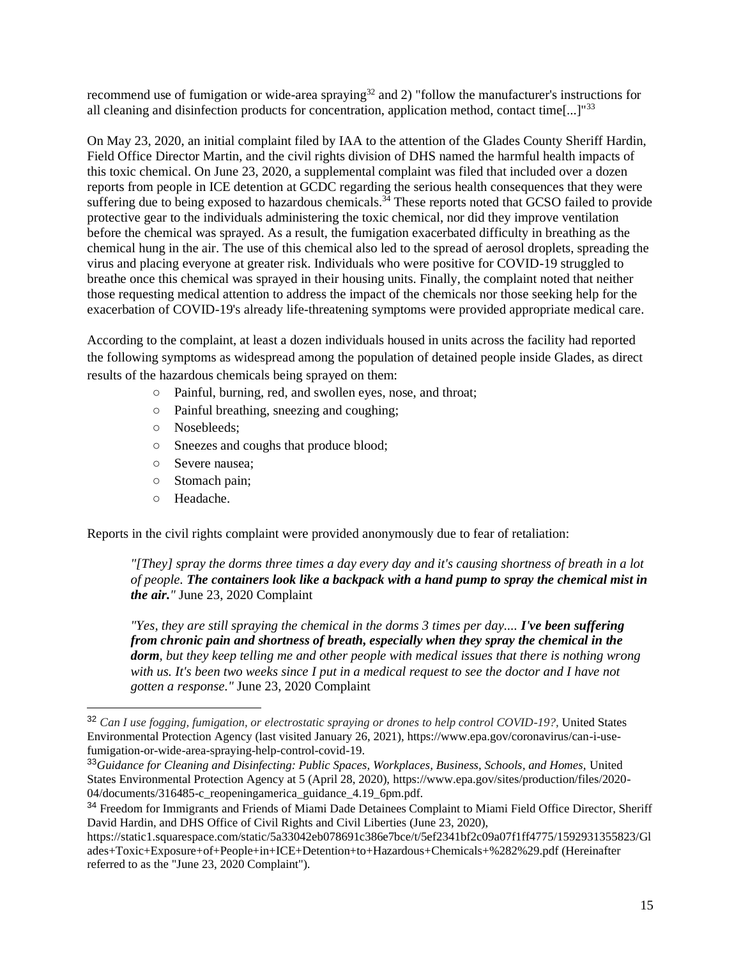recommend use of fumigation or wide-area spraying<sup>32</sup> and 2) "follow the manufacturer's instructions for all cleaning and disinfection products for concentration, application method, contact time[...]"<sup>33</sup>

On May 23, 2020, an initial complaint filed by IAA to the attention of the Glades County Sheriff Hardin, Field Office Director Martin, and the civil rights division of DHS named the harmful health impacts of this toxic chemical. On June 23, 2020, a supplemental complaint was filed that included over a dozen reports from people in ICE detention at GCDC regarding the serious health consequences that they were suffering due to being exposed to hazardous chemicals.<sup>34</sup> These reports noted that GCSO failed to provide protective gear to the individuals administering the toxic chemical, nor did they improve ventilation before the chemical was sprayed. As a result, the fumigation exacerbated difficulty in breathing as the chemical hung in the air. The use of this chemical also led to the spread of aerosol droplets, spreading the virus and placing everyone at greater risk. Individuals who were positive for COVID-19 struggled to breathe once this chemical was sprayed in their housing units. Finally, the complaint noted that neither those requesting medical attention to address the impact of the chemicals nor those seeking help for the exacerbation of COVID-19's already life-threatening symptoms were provided appropriate medical care.

According to the complaint, at least a dozen individuals housed in units across the facility had reported the following symptoms as widespread among the population of detained people inside Glades, as direct results of the hazardous chemicals being sprayed on them:

- Painful, burning, red, and swollen eyes, nose, and throat;
- Painful breathing, sneezing and coughing;
- Nosebleeds;
- Sneezes and coughs that produce blood;
- Severe nausea;
- Stomach pain;
- Headache.

Reports in the civil rights complaint were provided anonymously due to fear of retaliation:

*"[They] spray the dorms three times a day every day and it's causing shortness of breath in a lot of people. The containers look like a backpack with a hand pump to spray the chemical mist in the air."* June 23, 2020 Complaint

*"Yes, they are still spraying the chemical in the dorms 3 times per day.... I've been suffering from chronic pain and shortness of breath, especially when they spray the chemical in the dorm, but they keep telling me and other people with medical issues that there is nothing wrong*  with us. It's been two weeks since I put in a medical request to see the doctor and I have not *gotten a response."* June 23, 2020 Complaint

<sup>&</sup>lt;sup>32</sup> *Can I use fogging, fumigation, or electrostatic spraying or drones to help control COVID-19?, United States* Environmental Protection Agency (last visited January 26, 2021), https://www.epa.gov/coronavirus/can-i-usefumigation-or-wide-area-spraying-help-control-covid-19.

<sup>33</sup>*Guidance for Cleaning and Disinfecting: Public Spaces, Workplaces, Business, Schools, and Homes,* United States Environmental Protection Agency at 5 (April 28, 2020), https://www.epa.gov/sites/production/files/2020- 04/documents/316485-c reopeningamerica guidance 4.19 6pm.pdf.

<sup>&</sup>lt;sup>34</sup> Freedom for Immigrants and Friends of Miami Dade Detainees Complaint to Miami Field Office Director, Sheriff David Hardin, and DHS Office of Civil Rights and Civil Liberties (June 23, 2020),

https://static1.squarespace.com/static/5a33042eb078691c386e7bce/t/5ef2341bf2c09a07f1ff4775/1592931355823/Gl ades+Toxic+Exposure+of+People+in+ICE+Detention+to+Hazardous+Chemicals+%282%29.pdf (Hereinafter referred to as the "June 23, 2020 Complaint").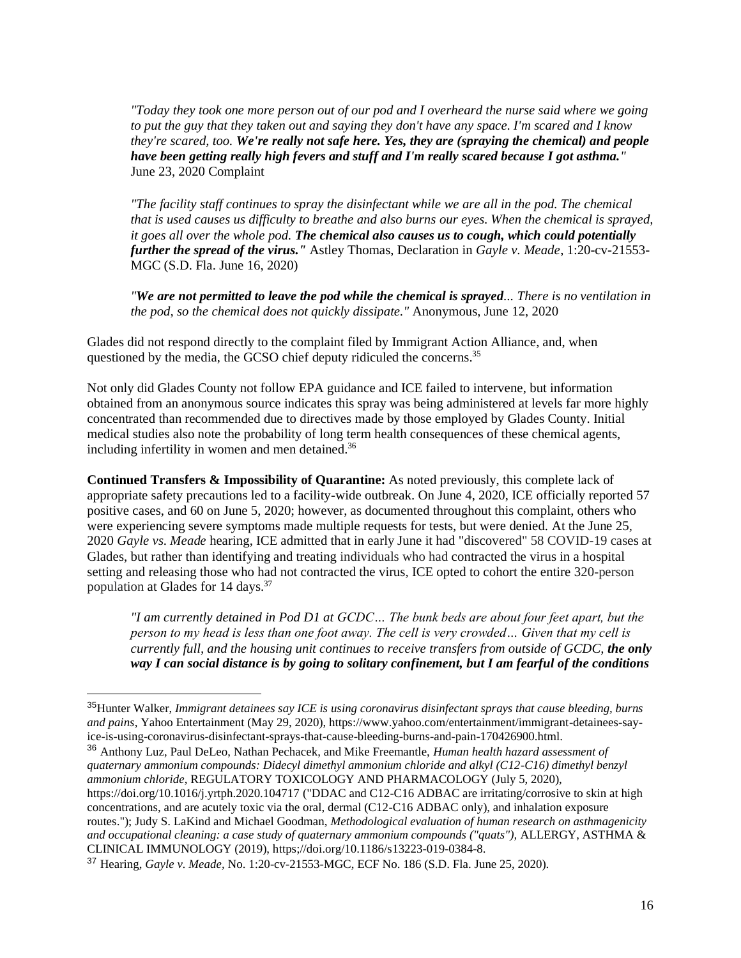*"Today they took one more person out of our pod and I overheard the nurse said where we going to put the guy that they taken out and saying they don't have any space. I'm scared and I know they're scared, too. We're really not safe here. Yes, they are (spraying the chemical) and people have been getting really high fevers and stuff and I'm really scared because I got asthma."*  June 23, 2020 Complaint

*"The facility staff continues to spray the disinfectant while we are all in the pod. The chemical that is used causes us difficulty to breathe and also burns our eyes. When the chemical is sprayed, it goes all over the whole pod. The chemical also causes us to cough, which could potentially further the spread of the virus."* Astley Thomas, Declaration in *Gayle v. Meade*, 1:20-cv-21553- MGC (S.D. Fla. June 16, 2020)

*"We are not permitted to leave the pod while the chemical is sprayed... There is no ventilation in the pod, so the chemical does not quickly dissipate."* Anonymous, June 12, 2020

Glades did not respond directly to the complaint filed by Immigrant Action Alliance, and, when questioned by the media, the GCSO chief deputy ridiculed the concerns.<sup>35</sup>

Not only did Glades County not follow EPA guidance and ICE failed to intervene, but information obtained from an anonymous source indicates this spray was being administered at levels far more highly concentrated than recommended due to directives made by those employed by Glades County. Initial medical studies also note the probability of long term health consequences of these chemical agents, including infertility in women and men detained.<sup>36</sup>

**Continued Transfers & Impossibility of Quarantine:** As noted previously, this complete lack of appropriate safety precautions led to a facility-wide outbreak. On June 4, 2020, ICE officially reported 57 positive cases, and 60 on June 5, 2020; however, as documented throughout this complaint, others who were experiencing severe symptoms made multiple requests for tests, but were denied. At the June 25, 2020 *Gayle vs. Meade* hearing, ICE admitted that in early June it had "discovered" 58 COVID-19 cases at Glades, but rather than identifying and treating individuals who had contracted the virus in a hospital setting and releasing those who had not contracted the virus, ICE opted to cohort the entire 320-person population at Glades for 14 days.<sup>37</sup>

*"I am currently detained in Pod D1 at GCDC… The bunk beds are about four feet apart, but the person to my head is less than one foot away. The cell is very crowded… Given that my cell is currently full, and the housing unit continues to receive transfers from outside of GCDC, the only way I can social distance is by going to solitary confinement, but I am fearful of the conditions* 

<sup>36</sup> Anthony Luz, Paul DeLeo, Nathan Pechacek, and Mike Freemantle, *Human health hazard assessment of quaternary ammonium compounds: Didecyl dimethyl ammonium chloride and alkyl (C12-C16) dimethyl benzyl ammonium chloride*, REGULATORY TOXICOLOGY AND PHARMACOLOGY (July 5, 2020),

<sup>35</sup>Hunter Walker, *Immigrant detainees say ICE is using coronavirus disinfectant sprays that cause bleeding, burns and pains*, Yahoo Entertainment (May 29, 2020), https://www.yahoo.com/entertainment/immigrant-detainees-sayice-is-using-coronavirus-disinfectant-sprays-that-cause-bleeding-burns-and-pain-170426900.html.

https://doi.org/10.1016/j.yrtph.2020.104717 ("DDAC and C12-C16 ADBAC are irritating/corrosive to skin at high concentrations, and are acutely toxic via the oral, dermal (C12-C16 ADBAC only), and inhalation exposure routes."); Judy S. LaKind and Michael Goodman, *Methodological evaluation of human research on asthmagenicity*  and occupational cleaning: a case study of quaternary ammonium compounds ("quats"), ALLERGY, ASTHMA & CLINICAL IMMUNOLOGY (2019), https;//doi.org/10.1186/s13223-019-0384-8.

<sup>37</sup> Hearing, *Gayle v. Meade,* No. 1:20-cv-21553-MGC, ECF No. 186 (S.D. Fla. June 25, 2020).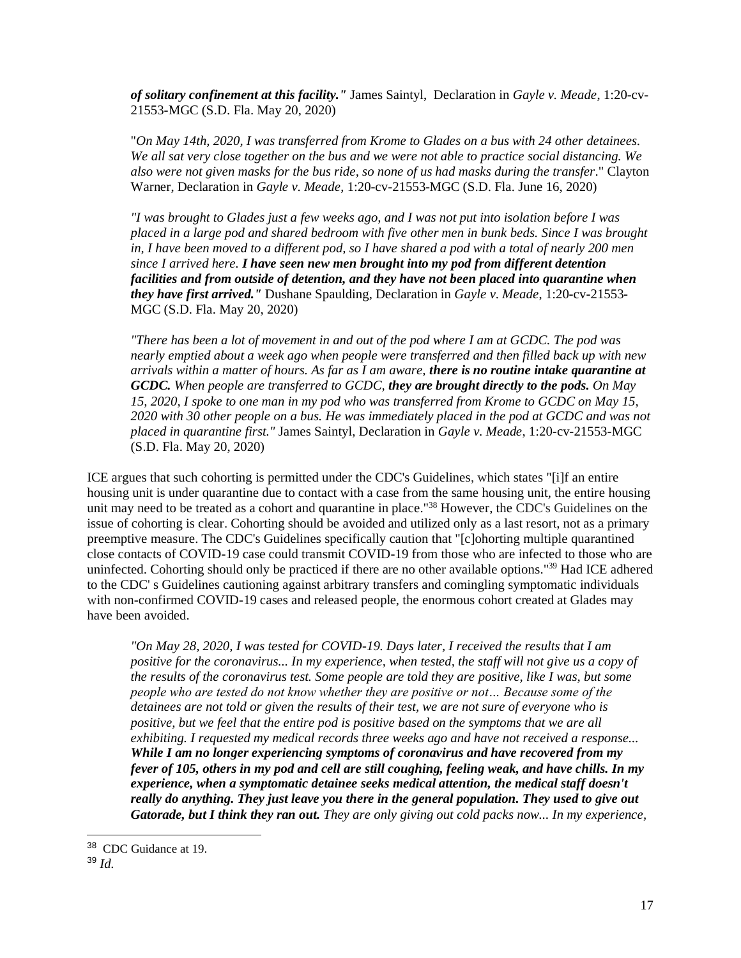*of solitary confinement at this facility."* James Saintyl, Declaration in *Gayle v. Meade*, 1:20-cv-21553-MGC (S.D. Fla. May 20, 2020)

"*On May 14th, 2020, I was transferred from Krome to Glades on a bus with 24 other detainees. We all sat very close together on the bus and we were not able to practice social distancing. We also were not given masks for the bus ride, so none of us had masks during the transfer*." Clayton Warner, Declaration in *Gayle v. Meade*, 1:20-cv-21553-MGC (S.D. Fla. June 16, 2020)

*"I was brought to Glades just a few weeks ago, and I was not put into isolation before I was placed in a large pod and shared bedroom with five other men in bunk beds. Since I was brought in, I have been moved to a different pod, so I have shared a pod with a total of nearly 200 men since I arrived here. I have seen new men brought into my pod from different detention facilities and from outside of detention, and they have not been placed into quarantine when they have first arrived."* Dushane Spaulding, Declaration in *Gayle v. Meade*, 1:20-cv-21553- MGC (S.D. Fla. May 20, 2020)

*"There has been a lot of movement in and out of the pod where I am at GCDC. The pod was nearly emptied about a week ago when people were transferred and then filled back up with new arrivals within a matter of hours. As far as I am aware, there is no routine intake quarantine at GCDC. When people are transferred to GCDC, they are brought directly to the pods. On May 15, 2020, I spoke to one man in my pod who was transferred from Krome to GCDC on May 15, 2020 with 30 other people on a bus. He was immediately placed in the pod at GCDC and was not placed in quarantine first."* James Saintyl, Declaration in *Gayle v. Meade*, 1:20-cv-21553-MGC (S.D. Fla. May 20, 2020)

ICE argues that such cohorting is permitted under the CDC's Guidelines, which states "[i]f an entire housing unit is under quarantine due to contact with a case from the same housing unit, the entire housing unit may need to be treated as a cohort and quarantine in place."<sup>38</sup> However, the CDC's Guidelines on the issue of cohorting is clear. Cohorting should be avoided and utilized only as a last resort, not as a primary preemptive measure. The CDC's Guidelines specifically caution that "[c]ohorting multiple quarantined close contacts of COVID-19 case could transmit COVID-19 from those who are infected to those who are uninfected. Cohorting should only be practiced if there are no other available options."<sup>39</sup> Had ICE adhered to the CDC' s Guidelines cautioning against arbitrary transfers and comingling symptomatic individuals with non-confirmed COVID-19 cases and released people, the enormous cohort created at Glades may have been avoided.

*"On May 28, 2020, I was tested for COVID-19. Days later, I received the results that I am positive for the coronavirus... In my experience, when tested, the staff will not give us a copy of the results of the coronavirus test. Some people are told they are positive, like I was, but some people who are tested do not know whether they are positive or not… Because some of the detainees are not told or given the results of their test, we are not sure of everyone who is positive, but we feel that the entire pod is positive based on the symptoms that we are all exhibiting. I requested my medical records three weeks ago and have not received a response... While I am no longer experiencing symptoms of coronavirus and have recovered from my fever of 105, others in my pod and cell are still coughing, feeling weak, and have chills. In my experience, when a symptomatic detainee seeks medical attention, the medical staff doesn't really do anything. They just leave you there in the general population. They used to give out Gatorade, but I think they ran out. They are only giving out cold packs now... In my experience,* 

<sup>&</sup>lt;sup>38</sup> CDC Guidance at 19.

<sup>39</sup> *Id.*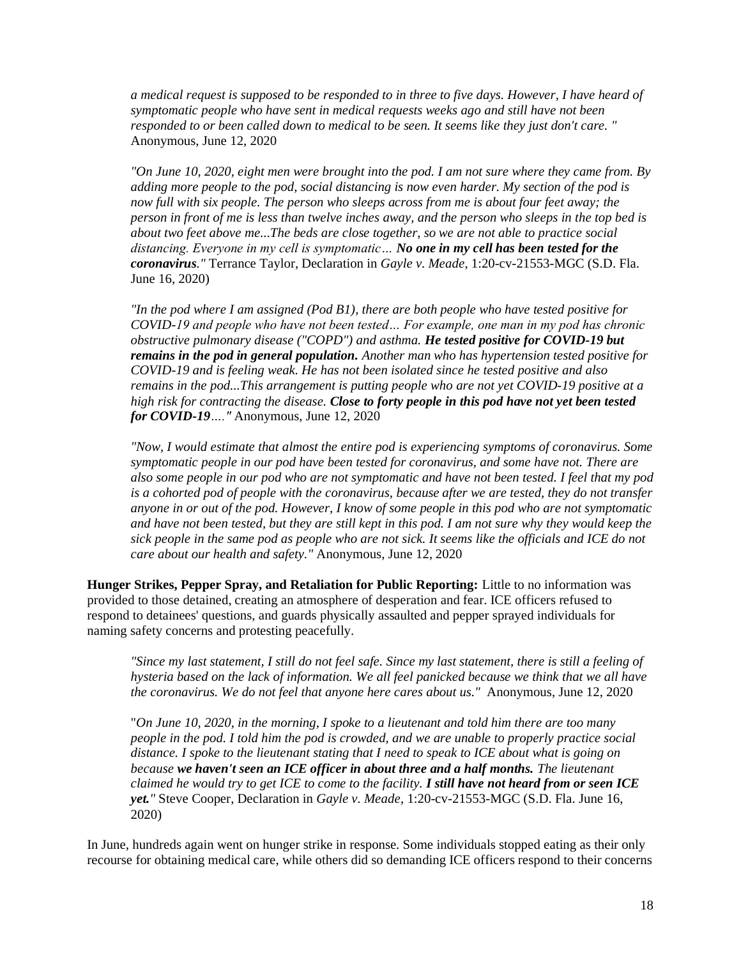*a medical request is supposed to be responded to in three to five days. However, I have heard of symptomatic people who have sent in medical requests weeks ago and still have not been responded to or been called down to medical to be seen. It seems like they just don't care. "*  Anonymous, June 12, 2020

*"On June 10, 2020, eight men were brought into the pod. I am not sure where they came from. By adding more people to the pod, social distancing is now even harder. My section of the pod is now full with six people. The person who sleeps across from me is about four feet away; the person in front of me is less than twelve inches away, and the person who sleeps in the top bed is about two feet above me...The beds are close together, so we are not able to practice social distancing. Everyone in my cell is symptomatic… No one in my cell has been tested for the coronavirus."* Terrance Taylor, Declaration in *Gayle v. Meade*, 1:20-cv-21553-MGC (S.D. Fla. June 16, 2020)

*"In the pod where I am assigned (Pod B1), there are both people who have tested positive for COVID-19 and people who have not been tested… For example, one man in my pod has chronic obstructive pulmonary disease ("COPD") and asthma. He tested positive for COVID-19 but remains in the pod in general population. Another man who has hypertension tested positive for COVID-19 and is feeling weak. He has not been isolated since he tested positive and also remains in the pod...This arrangement is putting people who are not yet COVID-19 positive at a high risk for contracting the disease. Close to forty people in this pod have not yet been tested for COVID-19…."* Anonymous, June 12, 2020

*"Now, I would estimate that almost the entire pod is experiencing symptoms of coronavirus. Some symptomatic people in our pod have been tested for coronavirus, and some have not. There are also some people in our pod who are not symptomatic and have not been tested. I feel that my pod is a cohorted pod of people with the coronavirus, because after we are tested, they do not transfer anyone in or out of the pod. However, I know of some people in this pod who are not symptomatic and have not been tested, but they are still kept in this pod. I am not sure why they would keep the sick people in the same pod as people who are not sick. It seems like the officials and ICE do not care about our health and safety."* Anonymous, June 12, 2020

**Hunger Strikes, Pepper Spray, and Retaliation for Public Reporting:** Little to no information was provided to those detained, creating an atmosphere of desperation and fear. ICE officers refused to respond to detainees' questions, and guards physically assaulted and pepper sprayed individuals for naming safety concerns and protesting peacefully.

*"Since my last statement, I still do not feel safe. Since my last statement, there is still a feeling of hysteria based on the lack of information. We all feel panicked because we think that we all have the coronavirus. We do not feel that anyone here cares about us."* Anonymous, June 12, 2020

"*On June 10, 2020, in the morning, I spoke to a lieutenant and told him there are too many people in the pod. I told him the pod is crowded, and we are unable to properly practice social distance. I spoke to the lieutenant stating that I need to speak to ICE about what is going on because we haven't seen an ICE officer in about three and a half months. The lieutenant claimed he would try to get ICE to come to the facility. I still have not heard from or seen ICE yet."* Steve Cooper, Declaration in *Gayle v. Meade*, 1:20-cv-21553-MGC (S.D. Fla. June 16, 2020)

In June, hundreds again went on hunger strike in response. Some individuals stopped eating as their only recourse for obtaining medical care, while others did so demanding ICE officers respond to their concerns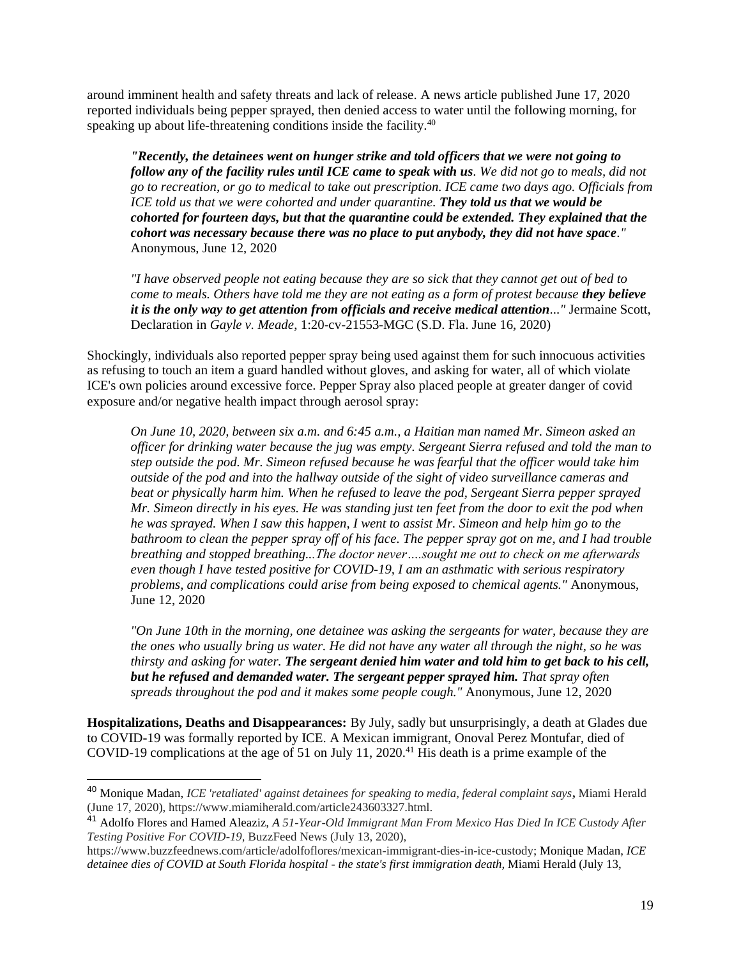around imminent health and safety threats and lack of release. A news article published June 17, 2020 reported individuals being pepper sprayed, then denied access to water until the following morning, for speaking up about life-threatening conditions inside the facility.<sup>40</sup>

*"Recently, the detainees went on hunger strike and told officers that we were not going to follow any of the facility rules until ICE came to speak with us. We did not go to meals, did not go to recreation, or go to medical to take out prescription. ICE came two days ago. Officials from ICE told us that we were cohorted and under quarantine. They told us that we would be cohorted for fourteen days, but that the quarantine could be extended. They explained that the cohort was necessary because there was no place to put anybody, they did not have space."*  Anonymous, June 12, 2020

*"I have observed people not eating because they are so sick that they cannot get out of bed to come to meals. Others have told me they are not eating as a form of protest because they believe it is the only way to get attention from officials and receive medical attention..."* Jermaine Scott, Declaration in *Gayle v. Meade*, 1:20-cv-21553-MGC (S.D. Fla. June 16, 2020)

Shockingly, individuals also reported pepper spray being used against them for such innocuous activities as refusing to touch an item a guard handled without gloves, and asking for water, all of which violate ICE's own policies around excessive force. Pepper Spray also placed people at greater danger of covid exposure and/or negative health impact through aerosol spray:

*On June 10, 2020, between six a.m. and 6:45 a.m., a Haitian man named Mr. Simeon asked an officer for drinking water because the jug was empty. Sergeant Sierra refused and told the man to step outside the pod. Mr. Simeon refused because he was fearful that the officer would take him outside of the pod and into the hallway outside of the sight of video surveillance cameras and beat or physically harm him. When he refused to leave the pod, Sergeant Sierra pepper sprayed Mr. Simeon directly in his eyes. He was standing just ten feet from the door to exit the pod when he was sprayed. When I saw this happen, I went to assist Mr. Simeon and help him go to the bathroom to clean the pepper spray off of his face. The pepper spray got on me, and I had trouble breathing and stopped breathing...The doctor never….sought me out to check on me afterwards even though I have tested positive for COVID-19, I am an asthmatic with serious respiratory problems, and complications could arise from being exposed to chemical agents."* Anonymous, June 12, 2020

*"On June 10th in the morning, one detainee was asking the sergeants for water, because they are the ones who usually bring us water. He did not have any water all through the night, so he was thirsty and asking for water. The sergeant denied him water and told him to get back to his cell, but he refused and demanded water. The sergeant pepper sprayed him. That spray often spreads throughout the pod and it makes some people cough."* Anonymous, June 12, 2020

**Hospitalizations, Deaths and Disappearances:** By July, sadly but unsurprisingly, a death at Glades due to COVID-19 was formally reported by ICE. A Mexican immigrant, Onoval Perez Montufar, died of COVID-19 complications at the age of 51 on July 11, 2020.<sup>41</sup> His death is a prime example of the

<sup>40</sup> Monique Madan, *ICE 'retaliated' against detainees for speaking to media, federal complaint says***,** Miami Herald (June 17, 2020), https://www.miamiherald.com/article243603327.html.

<sup>41</sup> Adolfo Flores and Hamed Aleaziz, *A 51-Year-Old Immigrant Man From Mexico Has Died In ICE Custody After Testing Positive For COVID-19,* BuzzFeed News (July 13, 2020),

https://www.buzzfeednews.com/article/adolfoflores/mexican-immigrant-dies-in-ice-custody; Monique Madan, *ICE detainee dies of COVID at South Florida hospital - the state's first immigration death,* Miami Herald (July 13,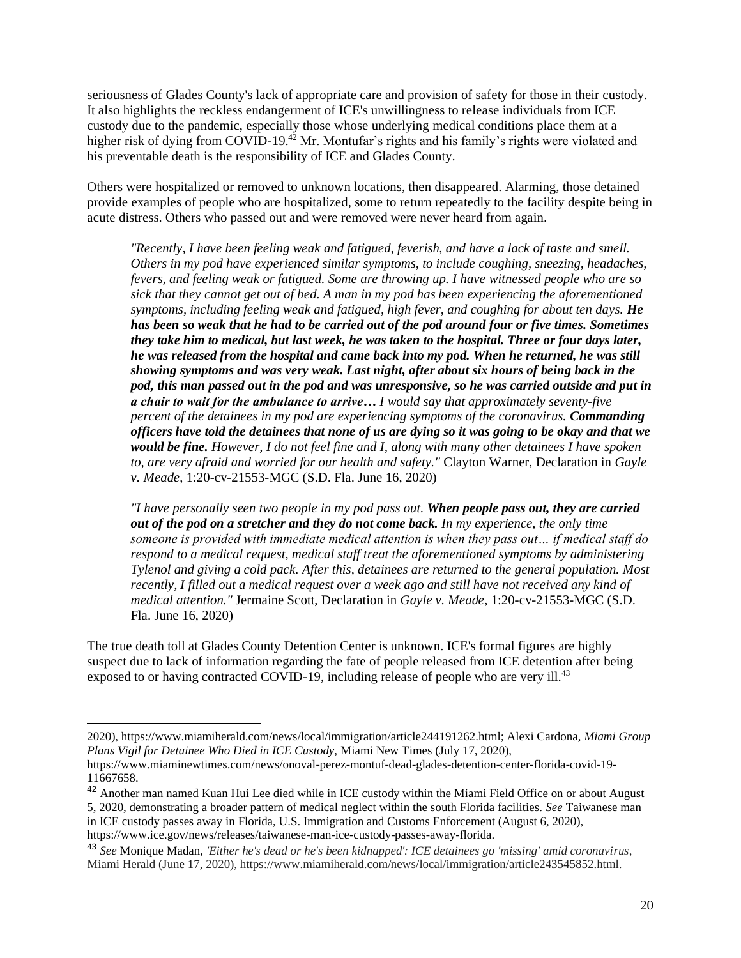seriousness of Glades County's lack of appropriate care and provision of safety for those in their custody. It also highlights the reckless endangerment of ICE's unwillingness to release individuals from ICE custody due to the pandemic, especially those whose underlying medical conditions place them at a higher risk of dying from COVID-19.<sup>42</sup> Mr. Montufar's rights and his family's rights were violated and his preventable death is the responsibility of ICE and Glades County.

Others were hospitalized or removed to unknown locations, then disappeared. Alarming, those detained provide examples of people who are hospitalized, some to return repeatedly to the facility despite being in acute distress. Others who passed out and were removed were never heard from again.

*"Recently, I have been feeling weak and fatigued, feverish, and have a lack of taste and smell. Others in my pod have experienced similar symptoms, to include coughing, sneezing, headaches, fevers, and feeling weak or fatigued. Some are throwing up. I have witnessed people who are so sick that they cannot get out of bed. A man in my pod has been experiencing the aforementioned symptoms, including feeling weak and fatigued, high fever, and coughing for about ten days. He has been so weak that he had to be carried out of the pod around four or five times. Sometimes they take him to medical, but last week, he was taken to the hospital. Three or four days later, he was released from the hospital and came back into my pod. When he returned, he was still showing symptoms and was very weak. Last night, after about six hours of being back in the pod, this man passed out in the pod and was unresponsive, so he was carried outside and put in a chair to wait for the ambulance to arrive… I would say that approximately seventy-five percent of the detainees in my pod are experiencing symptoms of the coronavirus. Commanding officers have told the detainees that none of us are dying so it was going to be okay and that we would be fine. However, I do not feel fine and I, along with many other detainees I have spoken to, are very afraid and worried for our health and safety."* Clayton Warner, Declaration in *Gayle v. Meade*, 1:20-cv-21553-MGC (S.D. Fla. June 16, 2020)

*"I have personally seen two people in my pod pass out. When people pass out, they are carried out of the pod on a stretcher and they do not come back. In my experience, the only time someone is provided with immediate medical attention is when they pass out… if medical staff do respond to a medical request, medical staff treat the aforementioned symptoms by administering Tylenol and giving a cold pack. After this, detainees are returned to the general population. Most recently, I filled out a medical request over a week ago and still have not received any kind of medical attention."* Jermaine Scott, Declaration in *Gayle v. Meade*, 1:20-cv-21553-MGC (S.D. Fla. June 16, 2020)

The true death toll at Glades County Detention Center is unknown. ICE's formal figures are highly suspect due to lack of information regarding the fate of people released from ICE detention after being exposed to or having contracted COVID-19, including release of people who are very ill.<sup>43</sup>

<sup>2020),</sup> https://www.miamiherald.com/news/local/immigration/article244191262.html; Alexi Cardona, *Miami Group Plans Vigil for Detainee Who Died in ICE Custody,* Miami New Times (July 17, 2020),

https://www.miaminewtimes.com/news/onoval-perez-montuf-dead-glades-detention-center-florida-covid-19- 11667658.

<sup>&</sup>lt;sup>42</sup> Another man named Kuan Hui Lee died while in ICE custody within the Miami Field Office on or about August 5, 2020, demonstrating a broader pattern of medical neglect within the south Florida facilities. *See* Taiwanese man

in ICE custody passes away in Florida, U.S. Immigration and Customs Enforcement (August 6, 2020), https://www.ice.gov/news/releases/taiwanese-man-ice-custody-passes-away-florida.

<sup>43</sup> *See* Monique Madan, *'Either he's dead or he's been kidnapped': ICE detainees go 'missing' amid coronavirus*, Miami Herald (June 17, 2020), https://www.miamiherald.com/news/local/immigration/article243545852.html.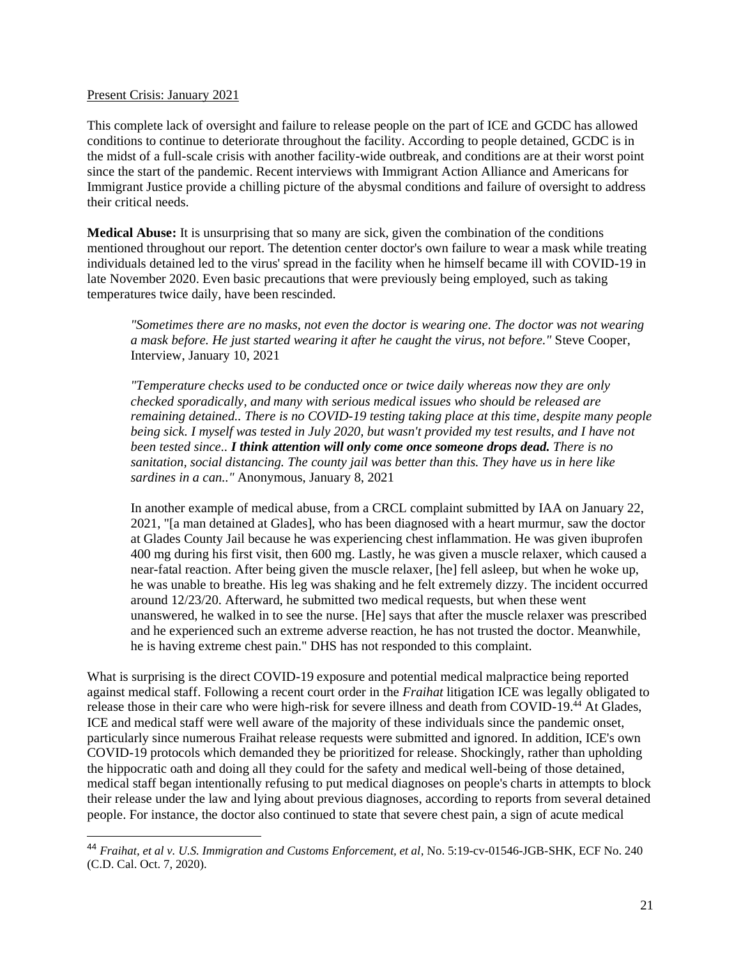#### Present Crisis: January 2021

This complete lack of oversight and failure to release people on the part of ICE and GCDC has allowed conditions to continue to deteriorate throughout the facility. According to people detained, GCDC is in the midst of a full-scale crisis with another facility-wide outbreak, and conditions are at their worst point since the start of the pandemic. Recent interviews with Immigrant Action Alliance and Americans for Immigrant Justice provide a chilling picture of the abysmal conditions and failure of oversight to address their critical needs.

**Medical Abuse:** It is unsurprising that so many are sick, given the combination of the conditions mentioned throughout our report. The detention center doctor's own failure to wear a mask while treating individuals detained led to the virus' spread in the facility when he himself became ill with COVID-19 in late November 2020. Even basic precautions that were previously being employed, such as taking temperatures twice daily, have been rescinded.

*"Sometimes there are no masks, not even the doctor is wearing one. The doctor was not wearing a mask before. He just started wearing it after he caught the virus, not before."* Steve Cooper, Interview, January 10, 2021

*"Temperature checks used to be conducted once or twice daily whereas now they are only checked sporadically, and many with serious medical issues who should be released are remaining detained.. There is no COVID-19 testing taking place at this time, despite many people being sick. I myself was tested in July 2020, but wasn't provided my test results, and I have not been tested since.. I think attention will only come once someone drops dead. There is no sanitation, social distancing. The county jail was better than this. They have us in here like sardines in a can.."* Anonymous, January 8, 2021

In another example of medical abuse, from a CRCL complaint submitted by IAA on January 22, 2021, "[a man detained at Glades], who has been diagnosed with a heart murmur, saw the doctor at Glades County Jail because he was experiencing chest inflammation. He was given ibuprofen 400 mg during his first visit, then 600 mg. Lastly, he was given a muscle relaxer, which caused a near-fatal reaction. After being given the muscle relaxer, [he] fell asleep, but when he woke up, he was unable to breathe. His leg was shaking and he felt extremely dizzy. The incident occurred around 12/23/20. Afterward, he submitted two medical requests, but when these went unanswered, he walked in to see the nurse. [He] says that after the muscle relaxer was prescribed and he experienced such an extreme adverse reaction, he has not trusted the doctor. Meanwhile, he is having extreme chest pain." DHS has not responded to this complaint.

What is surprising is the direct COVID-19 exposure and potential medical malpractice being reported against medical staff. Following a recent court order in the *Fraihat* litigation ICE was legally obligated to release those in their care who were high-risk for severe illness and death from COVID-19.<sup>44</sup> At Glades, ICE and medical staff were well aware of the majority of these individuals since the pandemic onset, particularly since numerous Fraihat release requests were submitted and ignored. In addition, ICE's own COVID-19 protocols which demanded they be prioritized for release. Shockingly, rather than upholding the hippocratic oath and doing all they could for the safety and medical well-being of those detained, medical staff began intentionally refusing to put medical diagnoses on people's charts in attempts to block their release under the law and lying about previous diagnoses, according to reports from several detained people. For instance, the doctor also continued to state that severe chest pain, a sign of acute medical

<sup>44</sup> *Fraihat, et al v. U.S. Immigration and Customs Enforcement, et al*, No. 5:19-cv-01546-JGB-SHK, ECF No. 240 (C.D. Cal. Oct. 7, 2020).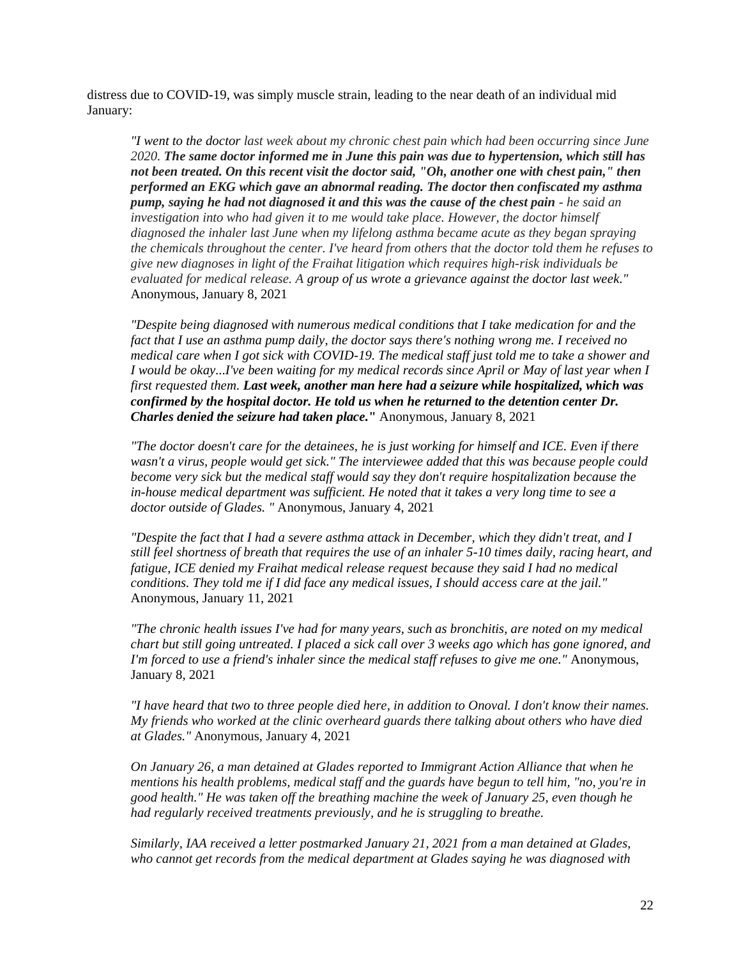distress due to COVID-19, was simply muscle strain, leading to the near death of an individual mid January:

*"I went to the doctor last week about my chronic chest pain which had been occurring since June 2020. The same doctor informed me in June this pain was due to hypertension, which still has not been treated. On this recent visit the doctor said, "Oh, another one with chest pain," then performed an EKG which gave an abnormal reading. The doctor then confiscated my asthma pump, saying he had not diagnosed it and this was the cause of the chest pain - he said an investigation into who had given it to me would take place. However, the doctor himself diagnosed the inhaler last June when my lifelong asthma became acute as they began spraying the chemicals throughout the center. I've heard from others that the doctor told them he refuses to give new diagnoses in light of the Fraihat litigation which requires high-risk individuals be evaluated for medical release. A group of us wrote a grievance against the doctor last week."*  Anonymous, January 8, 2021

*"Despite being diagnosed with numerous medical conditions that I take medication for and the fact that I use an asthma pump daily, the doctor says there's nothing wrong me. I received no medical care when I got sick with COVID-19. The medical staff just told me to take a shower and I would be okay...I've been waiting for my medical records since April or May of last year when I first requested them. Last week, another man here had a seizure while hospitalized, which was confirmed by the hospital doctor. He told us when he returned to the detention center Dr. Charles denied the seizure had taken place.***"** Anonymous, January 8, 2021

*"The doctor doesn't care for the detainees, he is just working for himself and ICE. Even if there wasn't a virus, people would get sick." The interviewee added that this was because people could become very sick but the medical staff would say they don't require hospitalization because the in-house medical department was sufficient. He noted that it takes a very long time to see a doctor outside of Glades. "* Anonymous, January 4, 2021

*"Despite the fact that I had a severe asthma attack in December, which they didn't treat, and I still feel shortness of breath that requires the use of an inhaler 5-10 times daily, racing heart, and fatigue, ICE denied my Fraihat medical release request because they said I had no medical conditions. They told me if I did face any medical issues, I should access care at the jail."*  Anonymous, January 11, 2021

*"The chronic health issues I've had for many years, such as bronchitis, are noted on my medical chart but still going untreated. I placed a sick call over 3 weeks ago which has gone ignored, and I'm forced to use a friend's inhaler since the medical staff refuses to give me one."* Anonymous, January 8, 2021

*"I have heard that two to three people died here, in addition to Onoval. I don't know their names. My friends who worked at the clinic overheard guards there talking about others who have died at Glades."* Anonymous, January 4, 2021

*On January 26, a man detained at Glades reported to Immigrant Action Alliance that when he mentions his health problems, medical staff and the guards have begun to tell him, "no, you're in good health." He was taken off the breathing machine the week of January 25, even though he had regularly received treatments previously, and he is struggling to breathe.* 

*Similarly, IAA received a letter postmarked January 21, 2021 from a man detained at Glades, who cannot get records from the medical department at Glades saying he was diagnosed with*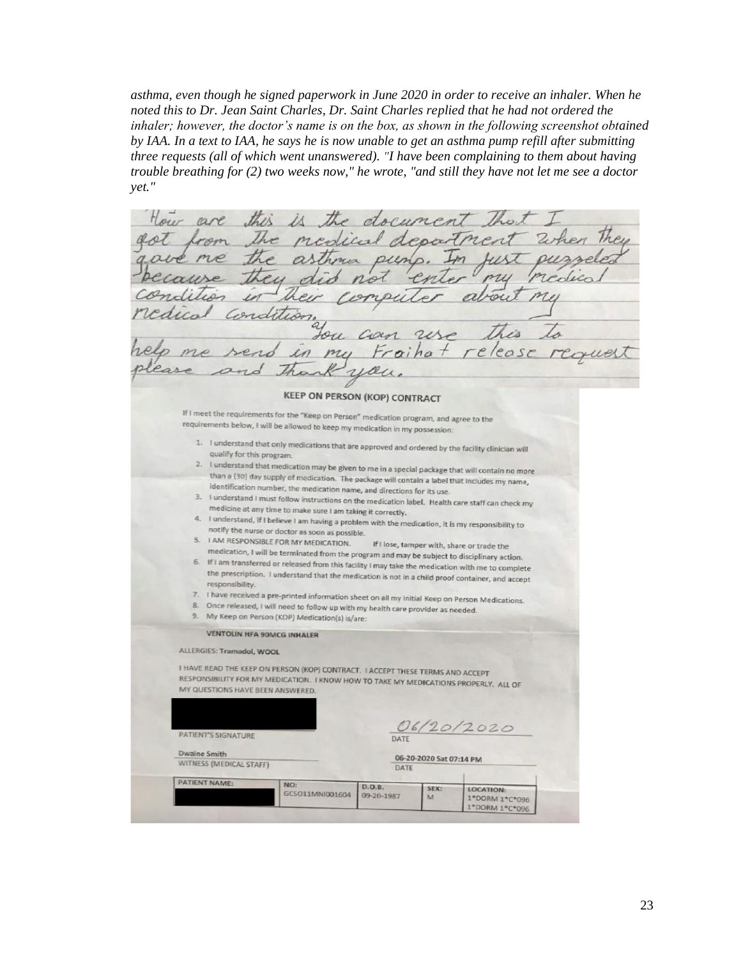*asthma, even though he signed paperwork in June 2020 in order to receive an inhaler. When he noted this to Dr. Jean Saint Charles, Dr. Saint Charles replied that he had not ordered the inhaler; however, the doctor's name is on the box, as shown in the following screenshot obtained by IAA. In a text to IAA, he says he is now unable to get an asthma pump refill after submitting three requests (all of which went unanswered). "I have been complaining to them about having trouble breathing for (2) two weeks now," he wrote, "and still they have not let me see a doctor yet."*

the document Hour are this medical departm aussis. rdit Cor **KEEP ON PERSON (KOP) CONTRACT** If I meet the requirements for the "Keep on Person" medication program, and agree to the requirements below, I will be allowed to keep my medication in my possession: 1. I understand that only medications that are approved and ordered by the facility clinician will qualify for this program. 2. I understand that medication may be given to me in a special package that will contain no more<br>than a (30) day sumply of medication. The state of the special package that will contain no more than a (30) day supply of medication. The package will contain a label that includes my name, identification number, the medication name, and directions for its use 3. I understand I must follow instructions on the medication label. Health care staff can check my medicine at any time to make sure I am taking it correctly. I understand, if I believe I am having a problem with the medication, it is my responsibility to notify the nurse or doctor as soon as possible. 5. I AM RESPONSIBLE FOR MY MEDICATION. If I lose, tamper with, share or trade the medication, I will be terminated from the program and may be subject to disciplinary action. If I am transferred or released from this facility I may take the medication with me to complete 6. the prescription. I understand that the medication is not in a child proof container, and accept responsibility. 7. I have received a pre-printed information sheet on all my initial Keep on Person Medications. Once released, I will need to follow up with my health care provider as needed.  $\alpha$ 9. My Keep on Person (KOP) Medication(s) is/are **VENTOLIN HFA 90MCG INHALER** ALLERGIES: Tramadol, WOOL I HAVE READ THE KEEP ON PERSON (KOP) CONTRACT. I ACCEPT THESE TERMS AND ACCEPT RESPONSIBILITY FOR MY MEDICATION. I KNOW HOW TO TAKE MY MEDICATIONS PROPERLY, ALL OF MY QUESTIONS HAVE BEEN ANSWERED. 06/20/2020 PATIENT'S SIGNATURE **DATE Dwaine Smith** 06-20-2020 Sat 07:14 PM WITNESS (MEDICAL STAFF) DATE PATIENT NAME: NO:  $D.O.B.$ SEX: **LOCATION:** GCSO11MNI001604 09-20-1987 M 1\*DORM 1\*C\*096 1\*DORM 1\*C\*096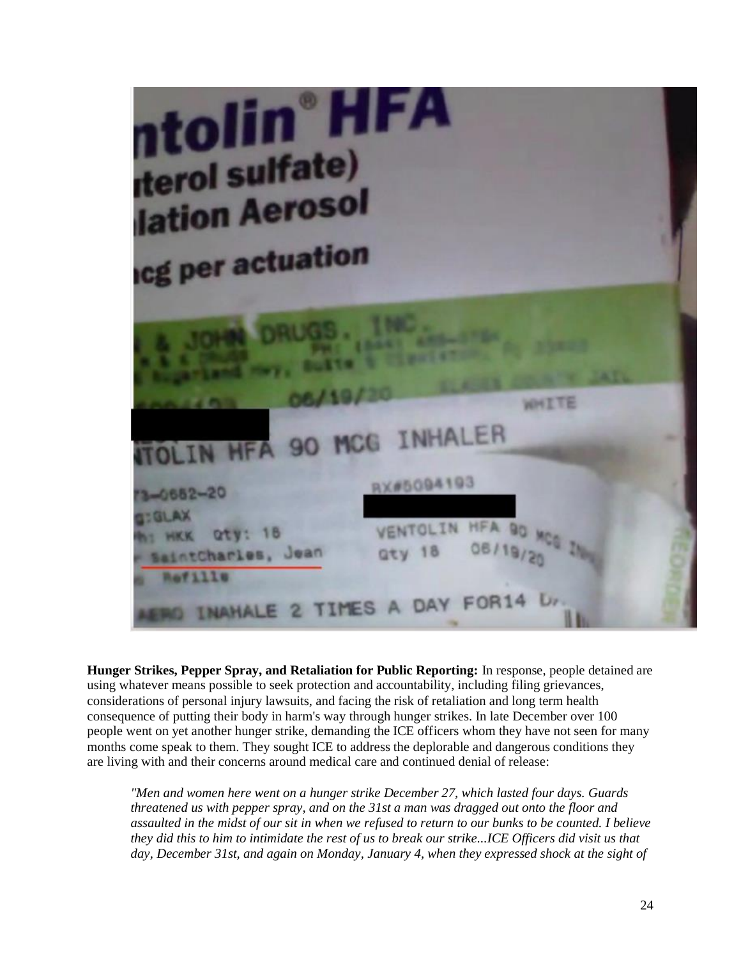| ntolin <sup>®</sup> HFA<br><b>iterol sulfate)</b><br><b>lation Aerosol</b><br><b>Icg per actuation</b>                                                                                  |  |
|-----------------------------------------------------------------------------------------------------------------------------------------------------------------------------------------|--|
| <b>A JOHN DRUGS.</b> INC.<br><b>Superhand May, Builts &amp; City</b><br>06/19/20<br><b>ALLA</b><br><b>WHITE</b>                                                                         |  |
| <b>ITOLIN HFA 90 MCG INHALER</b>                                                                                                                                                        |  |
| RX#5094193<br>$73 - 0652 - 20$<br><b>GIGLAX</b><br>VENTOLIN HEA 90 MCG IN<br>th: HKK Qty: 18<br>aty 18 06/19/20<br>- SaintCharles, Jean<br>n Refills<br>INAHALE 2 TIMES A DAY FOR14 Un. |  |

**Hunger Strikes, Pepper Spray, and Retaliation for Public Reporting:** In response, people detained are using whatever means possible to seek protection and accountability, including filing grievances, considerations of personal injury lawsuits, and facing the risk of retaliation and long term health consequence of putting their body in harm's way through hunger strikes. In late December over 100 people went on yet another hunger strike, demanding the ICE officers whom they have not seen for many months come speak to them. They sought ICE to address the deplorable and dangerous conditions they are living with and their concerns around medical care and continued denial of release:

*"Men and women here went on a hunger strike December 27, which lasted four days. Guards threatened us with pepper spray, and on the 31st a man was dragged out onto the floor and assaulted in the midst of our sit in when we refused to return to our bunks to be counted. I believe they did this to him to intimidate the rest of us to break our strike...ICE Officers did visit us that day, December 31st, and again on Monday, January 4, when they expressed shock at the sight of*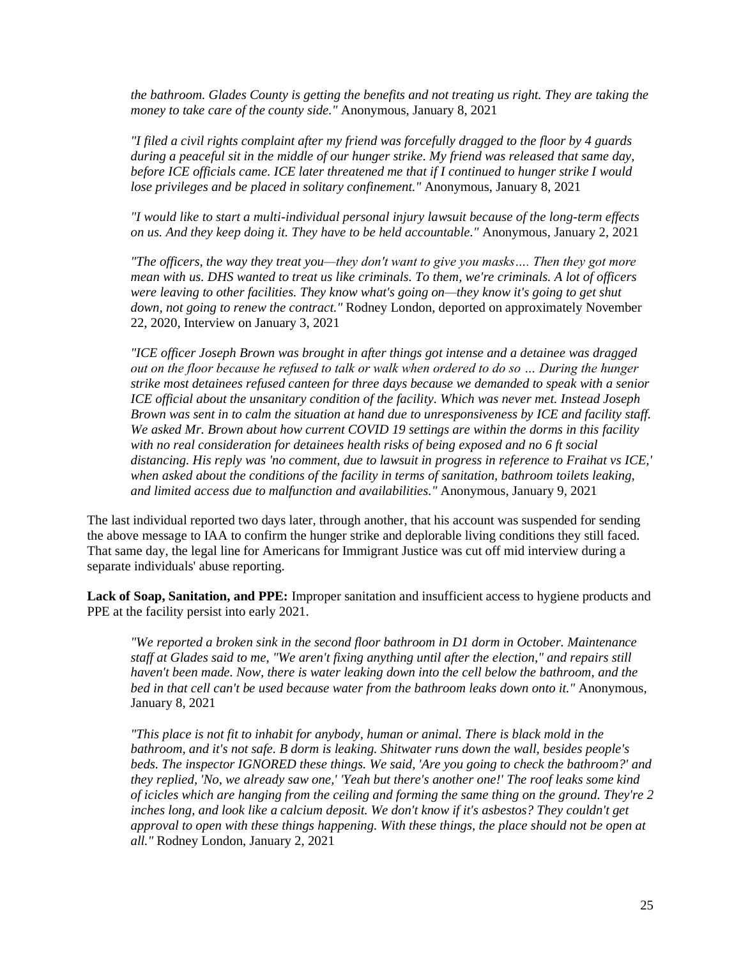*the bathroom. Glades County is getting the benefits and not treating us right. They are taking the money to take care of the county side."* Anonymous, January 8, 2021

*"I filed a civil rights complaint after my friend was forcefully dragged to the floor by 4 guards during a peaceful sit in the middle of our hunger strike. My friend was released that same day, before ICE officials came. ICE later threatened me that if I continued to hunger strike I would lose privileges and be placed in solitary confinement."* Anonymous, January 8, 2021

*"I would like to start a multi-individual personal injury lawsuit because of the long-term effects on us. And they keep doing it. They have to be held accountable."* Anonymous, January 2, 2021

*"The officers, the way they treat you—they don't want to give you masks…. Then they got more mean with us. DHS wanted to treat us like criminals. To them, we're criminals. A lot of officers were leaving to other facilities. They know what's going on—they know it's going to get shut down, not going to renew the contract."* Rodney London, deported on approximately November 22, 2020, Interview on January 3, 2021

*"ICE officer Joseph Brown was brought in after things got intense and a detainee was dragged out on the floor because he refused to talk or walk when ordered to do so … During the hunger strike most detainees refused canteen for three days because we demanded to speak with a senior ICE official about the unsanitary condition of the facility. Which was never met. Instead Joseph Brown was sent in to calm the situation at hand due to unresponsiveness by ICE and facility staff. We asked Mr. Brown about how current COVID 19 settings are within the dorms in this facility with no real consideration for detainees health risks of being exposed and no 6 ft social distancing. His reply was 'no comment, due to lawsuit in progress in reference to Fraihat vs ICE,' when asked about the conditions of the facility in terms of sanitation, bathroom toilets leaking, and limited access due to malfunction and availabilities."* Anonymous, January 9, 2021

The last individual reported two days later, through another, that his account was suspended for sending the above message to IAA to confirm the hunger strike and deplorable living conditions they still faced. That same day, the legal line for Americans for Immigrant Justice was cut off mid interview during a separate individuals' abuse reporting.

**Lack of Soap, Sanitation, and PPE:** Improper sanitation and insufficient access to hygiene products and PPE at the facility persist into early 2021.

*"We reported a broken sink in the second floor bathroom in D1 dorm in October. Maintenance staff at Glades said to me, "We aren't fixing anything until after the election," and repairs still haven't been made. Now, there is water leaking down into the cell below the bathroom, and the bed in that cell can't be used because water from the bathroom leaks down onto it."* Anonymous, January 8, 2021

*"This place is not fit to inhabit for anybody, human or animal. There is black mold in the bathroom, and it's not safe. B dorm is leaking. Shitwater runs down the wall, besides people's beds. The inspector IGNORED these things. We said, 'Are you going to check the bathroom?' and they replied, 'No, we already saw one,' 'Yeah but there's another one!' The roof leaks some kind of icicles which are hanging from the ceiling and forming the same thing on the ground. They're 2 inches long, and look like a calcium deposit. We don't know if it's asbestos? They couldn't get approval to open with these things happening. With these things, the place should not be open at all."* Rodney London, January 2, 2021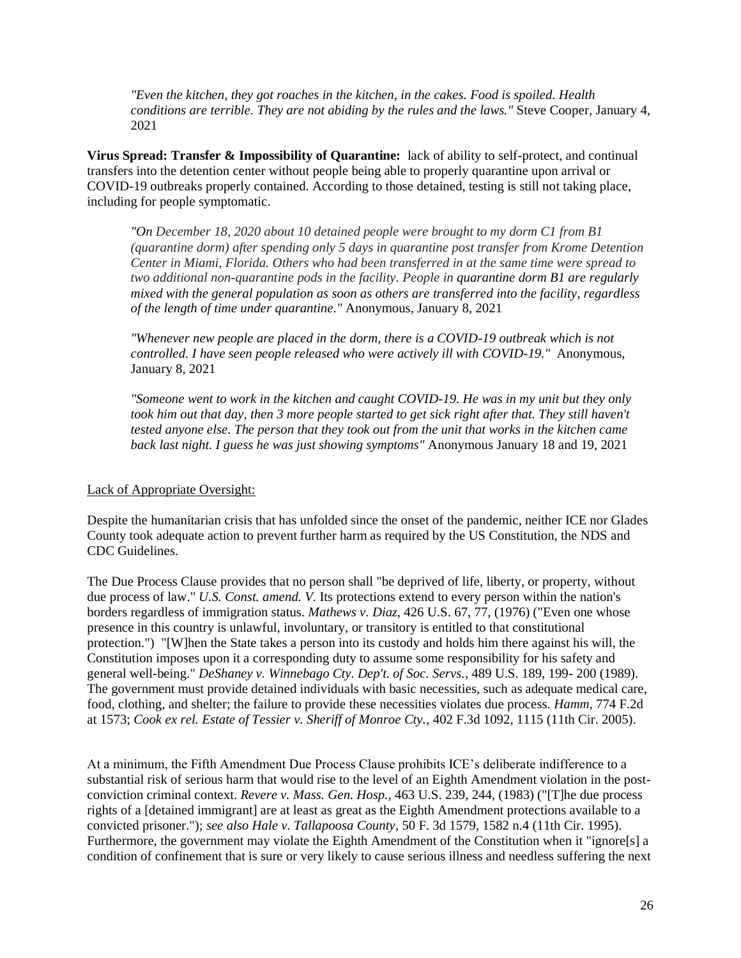*"Even the kitchen, they got roaches in the kitchen, in the cakes. Food is spoiled. Health conditions are terrible. They are not abiding by the rules and the laws."* Steve Cooper, January 4, 2021

**Virus Spread: Transfer & Impossibility of Quarantine:** lack of ability to self-protect, and continual transfers into the detention center without people being able to properly quarantine upon arrival or COVID-19 outbreaks properly contained. According to those detained, testing is still not taking place, including for people symptomatic.

*"On December 18, 2020 about 10 detained people were brought to my dorm C1 from B1 (quarantine dorm) after spending only 5 days in quarantine post transfer from Krome Detention Center in Miami, Florida. Others who had been transferred in at the same time were spread to two additional non-quarantine pods in the facility. People in quarantine dorm B1 are regularly mixed with the general population as soon as others are transferred into the facility, regardless of the length of time under quarantine."* Anonymous, January 8, 2021

*"Whenever new people are placed in the dorm, there is a COVID-19 outbreak which is not controlled. I have seen people released who were actively ill with COVID-19."* Anonymous, January 8, 2021

*"Someone went to work in the kitchen and caught COVID-19. He was in my unit but they only*  took him out that day, then 3 more people started to get sick right after that. They still haven't *tested anyone else. The person that they took out from the unit that works in the kitchen came back last night. I guess he was just showing symptoms"* Anonymous January 18 and 19, 2021

#### Lack of Appropriate Oversight:

Despite the humanitarian crisis that has unfolded since the onset of the pandemic, neither ICE nor Glades County took adequate action to prevent further harm as required by the US Constitution, the NDS and CDC Guidelines.

The Due Process Clause provides that no person shall "be deprived of life, liberty, or property, without due process of law." *U.S. Const. amend. V.* Its protections extend to every person within the nation's borders regardless of immigration status. *Mathews v. Diaz*, 426 U.S. 67, 77, (1976) ("Even one whose presence in this country is unlawful, involuntary, or transitory is entitled to that constitutional protection.") "[W]hen the State takes a person into its custody and holds him there against his will, the Constitution imposes upon it a corresponding duty to assume some responsibility for his safety and general well-being." *DeShaney v. Winnebago Cty. Dep't. of Soc. Servs.*, 489 U.S. 189, 199- 200 (1989). The government must provide detained individuals with basic necessities, such as adequate medical care, food, clothing, and shelter; the failure to provide these necessities violates due process. *Hamm*, 774 F.2d at 1573; *Cook ex rel. Estate of Tessier v. Sheriff of Monroe Cty.*, 402 F.3d 1092, 1115 (11th Cir. 2005).

At a minimum, the Fifth Amendment Due Process Clause prohibits ICE's deliberate indifference to a substantial risk of serious harm that would rise to the level of an Eighth Amendment violation in the postconviction criminal context. *Revere v. Mass. Gen. Hosp.*, 463 U.S. 239, 244, (1983) ("[T]he due process rights of a [detained immigrant] are at least as great as the Eighth Amendment protections available to a convicted prisoner."); *see also Hale v. Tallapoosa County*, 50 F. 3d 1579, 1582 n.4 (11th Cir. 1995). Furthermore, the government may violate the Eighth Amendment of the Constitution when it "ignore[s] a condition of confinement that is sure or very likely to cause serious illness and needless suffering the next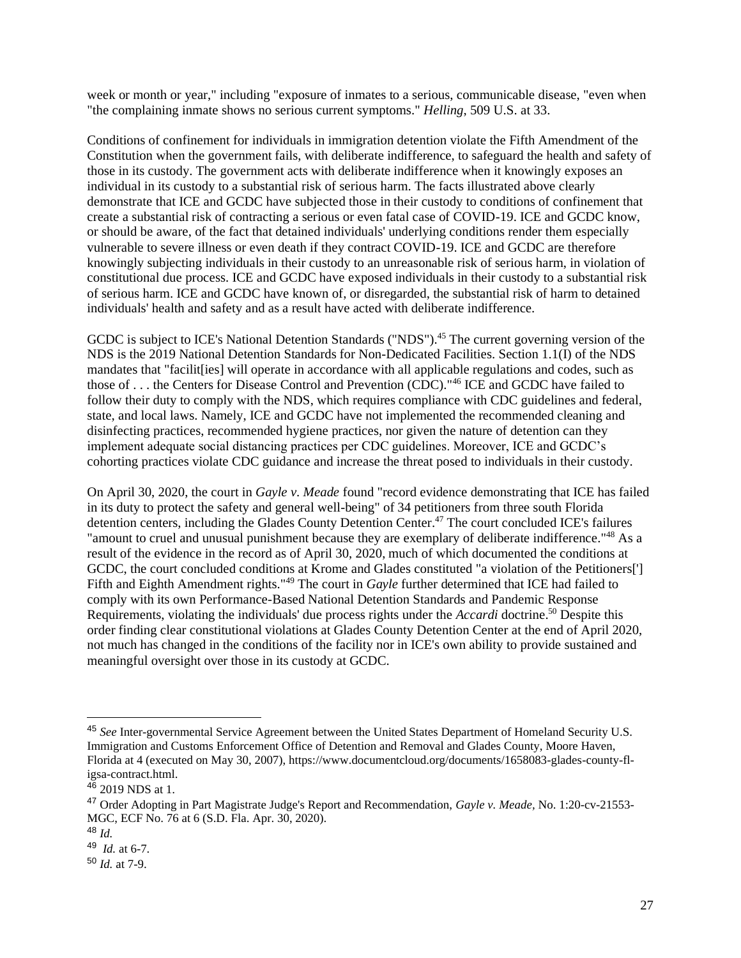week or month or year," including "exposure of inmates to a serious, communicable disease, "even when "the complaining inmate shows no serious current symptoms." *Helling*, 509 U.S. at 33.

Conditions of confinement for individuals in immigration detention violate the Fifth Amendment of the Constitution when the government fails, with deliberate indifference, to safeguard the health and safety of those in its custody. The government acts with deliberate indifference when it knowingly exposes an individual in its custody to a substantial risk of serious harm. The facts illustrated above clearly demonstrate that ICE and GCDC have subjected those in their custody to conditions of confinement that create a substantial risk of contracting a serious or even fatal case of COVID-19. ICE and GCDC know, or should be aware, of the fact that detained individuals' underlying conditions render them especially vulnerable to severe illness or even death if they contract COVID-19. ICE and GCDC are therefore knowingly subjecting individuals in their custody to an unreasonable risk of serious harm, in violation of constitutional due process. ICE and GCDC have exposed individuals in their custody to a substantial risk of serious harm. ICE and GCDC have known of, or disregarded, the substantial risk of harm to detained individuals' health and safety and as a result have acted with deliberate indifference.

GCDC is subject to ICE's National Detention Standards ("NDS").<sup>45</sup> The current governing version of the NDS is the 2019 National Detention Standards for Non-Dedicated Facilities. Section 1.1(I) of the NDS mandates that "facilit [ies] will operate in accordance with all applicable regulations and codes, such as those of . . . the Centers for Disease Control and Prevention (CDC)."<sup>46</sup> ICE and GCDC have failed to follow their duty to comply with the NDS, which requires compliance with CDC guidelines and federal, state, and local laws. Namely, ICE and GCDC have not implemented the recommended cleaning and disinfecting practices, recommended hygiene practices, nor given the nature of detention can they implement adequate social distancing practices per CDC guidelines. Moreover, ICE and GCDC's cohorting practices violate CDC guidance and increase the threat posed to individuals in their custody.

On April 30, 2020, the court in *Gayle v. Meade* found "record evidence demonstrating that ICE has failed in its duty to protect the safety and general well-being" of 34 petitioners from three south Florida detention centers, including the Glades County Detention Center.<sup>47</sup> The court concluded ICE's failures "amount to cruel and unusual punishment because they are exemplary of deliberate indifference."<sup>48</sup> As a result of the evidence in the record as of April 30, 2020, much of which documented the conditions at GCDC, the court concluded conditions at Krome and Glades constituted "a violation of the Petitioners['] Fifth and Eighth Amendment rights."<sup>49</sup> The court in *Gayle* further determined that ICE had failed to comply with its own Performance-Based National Detention Standards and Pandemic Response Requirements, violating the individuals' due process rights under the *Accardi* doctrine.<sup>50</sup> Despite this order finding clear constitutional violations at Glades County Detention Center at the end of April 2020, not much has changed in the conditions of the facility nor in ICE's own ability to provide sustained and meaningful oversight over those in its custody at GCDC.

<sup>45</sup> *See* Inter-governmental Service Agreement between the United States Department of Homeland Security U.S. Immigration and Customs Enforcement Office of Detention and Removal and Glades County, Moore Haven, Florida at 4 (executed on May 30, 2007), https://www.documentcloud.org/documents/1658083-glades-county-fligsa-contract.html.

<sup>46</sup> 2019 NDS at 1.

<sup>47</sup> Order Adopting in Part Magistrate Judge's Report and Recommendation, *Gayle v. Meade,* No. 1:20-cv-21553- MGC, ECF No. 76 at 6 (S.D. Fla. Apr. 30, 2020).

<sup>48</sup> *Id.* 

<sup>49</sup> *Id.* at 6-7.

<sup>50</sup> *Id.* at 7-9.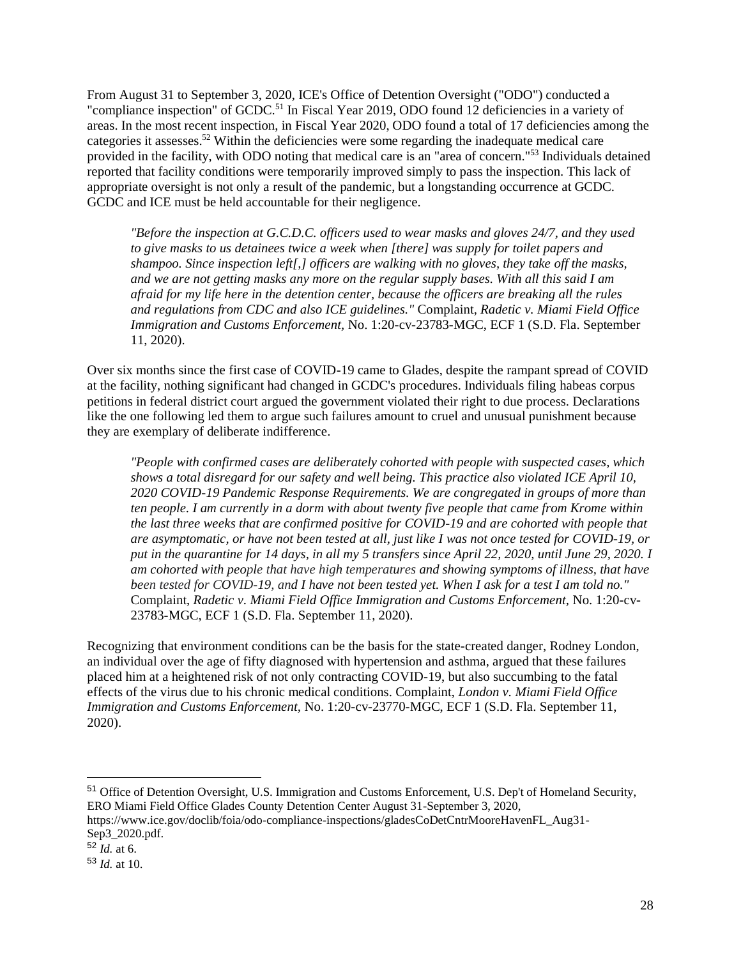From August 31 to September 3, 2020, ICE's Office of Detention Oversight ("ODO") conducted a "compliance inspection" of GCDC.<sup>51</sup> In Fiscal Year 2019, ODO found 12 deficiencies in a variety of areas. In the most recent inspection, in Fiscal Year 2020, ODO found a total of 17 deficiencies among the categories it assesses.<sup>52</sup> Within the deficiencies were some regarding the inadequate medical care provided in the facility, with ODO noting that medical care is an "area of concern."<sup>53</sup> Individuals detained reported that facility conditions were temporarily improved simply to pass the inspection. This lack of appropriate oversight is not only a result of the pandemic, but a longstanding occurrence at GCDC. GCDC and ICE must be held accountable for their negligence.

*"Before the inspection at G.C.D.C. officers used to wear masks and gloves 24/7, and they used to give masks to us detainees twice a week when [there] was supply for toilet papers and shampoo. Since inspection left[,] officers are walking with no gloves, they take off the masks, and we are not getting masks any more on the regular supply bases. With all this said I am afraid for my life here in the detention center, because the officers are breaking all the rules and regulations from CDC and also ICE guidelines."* Complaint, *Radetic v. Miami Field Office Immigration and Customs Enforcement,* No. 1:20-cv-23783-MGC, ECF 1 (S.D. Fla. September 11, 2020).

Over six months since the first case of COVID-19 came to Glades, despite the rampant spread of COVID at the facility, nothing significant had changed in GCDC's procedures. Individuals filing habeas corpus petitions in federal district court argued the government violated their right to due process. Declarations like the one following led them to argue such failures amount to cruel and unusual punishment because they are exemplary of deliberate indifference.

*"People with confirmed cases are deliberately cohorted with people with suspected cases, which shows a total disregard for our safety and well being. This practice also violated ICE April 10, 2020 COVID-19 Pandemic Response Requirements. We are congregated in groups of more than ten people. I am currently in a dorm with about twenty five people that came from Krome within the last three weeks that are confirmed positive for COVID-19 and are cohorted with people that are asymptomatic, or have not been tested at all, just like I was not once tested for COVID-19, or put in the quarantine for 14 days, in all my 5 transfers since April 22, 2020, until June 29, 2020. I am cohorted with people that have high temperatures and showing symptoms of illness, that have been tested for COVID-19, and I have not been tested yet. When I ask for a test I am told no."*  Complaint, *Radetic v. Miami Field Office Immigration and Customs Enforcement,* No. 1:20-cv-23783-MGC, ECF 1 (S.D. Fla. September 11, 2020).

Recognizing that environment conditions can be the basis for the state-created danger, Rodney London, an individual over the age of fifty diagnosed with hypertension and asthma, argued that these failures placed him at a heightened risk of not only contracting COVID-19, but also succumbing to the fatal effects of the virus due to his chronic medical conditions. Complaint, *London v. Miami Field Office Immigration and Customs Enforcement,* No. 1:20-cv-23770-MGC, ECF 1 (S.D. Fla. September 11, 2020).

<sup>51</sup> Office of Detention Oversight, U.S. Immigration and Customs Enforcement, U.S. Dep't of Homeland Security, ERO Miami Field Office Glades County Detention Center August 31-September 3, 2020,

[https://www.ice.gov/doclib/foia/odo-compliance-inspections/gladesCoDetCntrMooreHavenFL\\_Aug31-](https://www.ice.gov/doclib/foia/odo-compliance-inspections/gladesCoDetCntrMooreHavenFL_Aug31-Sep3_2020.pdf) [Sep3\\_2020.pdf.](https://www.ice.gov/doclib/foia/odo-compliance-inspections/gladesCoDetCntrMooreHavenFL_Aug31-Sep3_2020.pdf)

<sup>52</sup> *Id.* at 6.

<sup>53</sup> *Id.* at 10.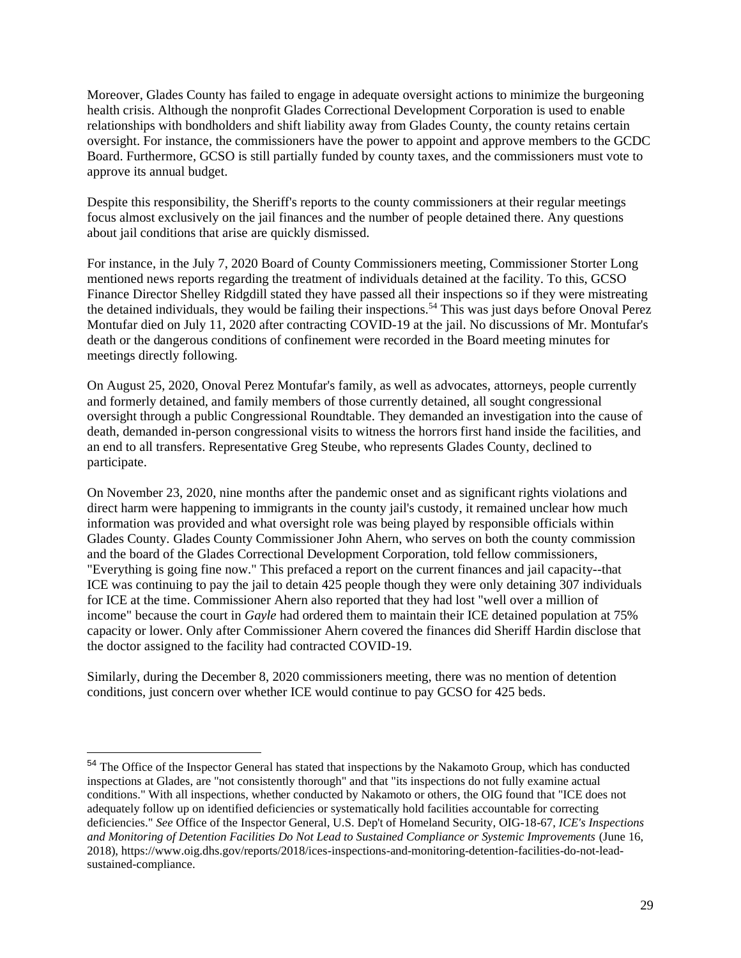Moreover, Glades County has failed to engage in adequate oversight actions to minimize the burgeoning health crisis. Although the nonprofit Glades Correctional Development Corporation is used to enable relationships with bondholders and shift liability away from Glades County, the county retains certain oversight. For instance, the commissioners have the power to appoint and approve members to the GCDC Board. Furthermore, GCSO is still partially funded by county taxes, and the commissioners must vote to approve its annual budget.

Despite this responsibility, the Sheriff's reports to the county commissioners at their regular meetings focus almost exclusively on the jail finances and the number of people detained there. Any questions about jail conditions that arise are quickly dismissed.

For instance, in the July 7, 2020 Board of County Commissioners meeting, Commissioner Storter Long mentioned news reports regarding the treatment of individuals detained at the facility. To this, GCSO Finance Director Shelley Ridgdill stated they have passed all their inspections so if they were mistreating the detained individuals, they would be failing their inspections.<sup>54</sup> This was just days before Onoval Perez Montufar died on July 11, 2020 after contracting COVID-19 at the jail. No discussions of Mr. Montufar's death or the dangerous conditions of confinement were recorded in the Board meeting minutes for meetings directly following.

On August 25, 2020, Onoval Perez Montufar's family, as well as advocates, attorneys, people currently and formerly detained, and family members of those currently detained, all sought congressional oversight through a public Congressional Roundtable. They demanded an investigation into the cause of death, demanded in-person congressional visits to witness the horrors first hand inside the facilities, and an end to all transfers. Representative Greg Steube, who represents Glades County, declined to participate.

On November 23, 2020, nine months after the pandemic onset and as significant rights violations and direct harm were happening to immigrants in the county jail's custody, it remained unclear how much information was provided and what oversight role was being played by responsible officials within Glades County. Glades County Commissioner John Ahern, who serves on both the county commission and the board of the Glades Correctional Development Corporation, told fellow commissioners, "Everything is going fine now." This prefaced a report on the current finances and jail capacity--that ICE was continuing to pay the jail to detain 425 people though they were only detaining 307 individuals for ICE at the time. Commissioner Ahern also reported that they had lost "well over a million of income" because the court in *Gayle* had ordered them to maintain their ICE detained population at 75% capacity or lower. Only after Commissioner Ahern covered the finances did Sheriff Hardin disclose that the doctor assigned to the facility had contracted COVID-19.

Similarly, during the December 8, 2020 commissioners meeting, there was no mention of detention conditions, just concern over whether ICE would continue to pay GCSO for 425 beds.

<sup>54</sup> The Office of the Inspector General has stated that inspections by the Nakamoto Group, which has conducted inspections at Glades, are "not consistently thorough" and that "its inspections do not fully examine actual conditions." With all inspections, whether conducted by Nakamoto or others, the OIG found that "ICE does not adequately follow up on identified deficiencies or systematically hold facilities accountable for correcting deficiencies." *See* Office of the Inspector General, U.S. Dep't of Homeland Security, OIG-18-67, *ICE's Inspections and Monitoring of Detention Facilities Do Not Lead to Sustained Compliance or Systemic Improvements* (June 16, 2018), https://www.oig.dhs.gov/reports/2018/ices-inspections-and-monitoring-detention-facilities-do-not-leadsustained-compliance.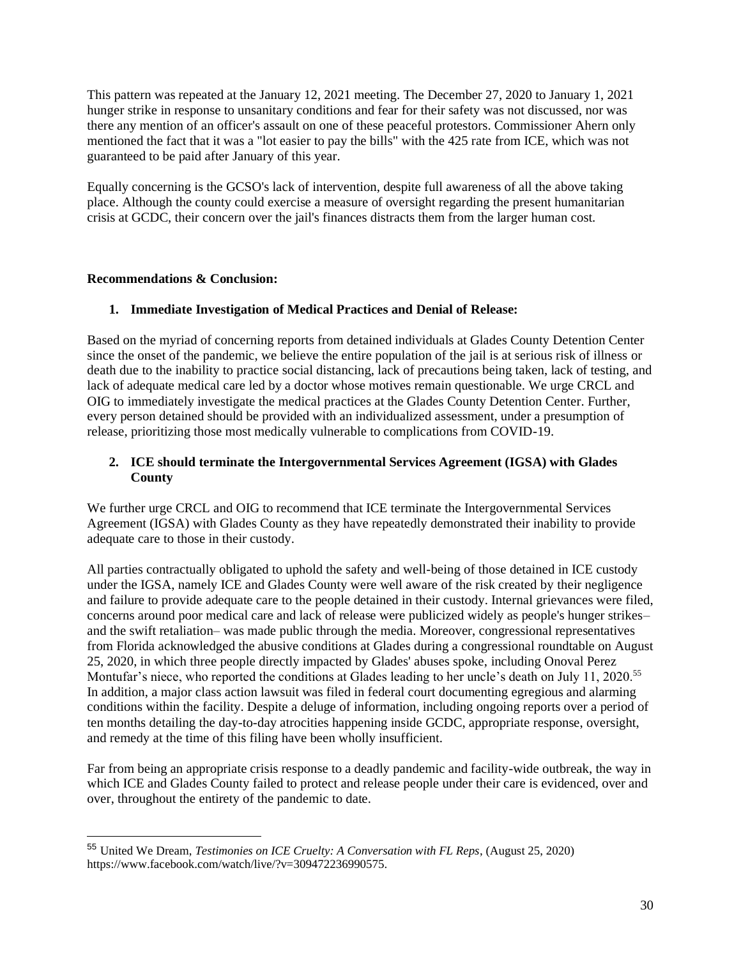This pattern was repeated at the January 12, 2021 meeting. The December 27, 2020 to January 1, 2021 hunger strike in response to unsanitary conditions and fear for their safety was not discussed, nor was there any mention of an officer's assault on one of these peaceful protestors. Commissioner Ahern only mentioned the fact that it was a "lot easier to pay the bills" with the 425 rate from ICE, which was not guaranteed to be paid after January of this year.

Equally concerning is the GCSO's lack of intervention, despite full awareness of all the above taking place. Although the county could exercise a measure of oversight regarding the present humanitarian crisis at GCDC, their concern over the jail's finances distracts them from the larger human cost.

## **Recommendations & Conclusion:**

# **1. Immediate Investigation of Medical Practices and Denial of Release:**

Based on the myriad of concerning reports from detained individuals at Glades County Detention Center since the onset of the pandemic, we believe the entire population of the jail is at serious risk of illness or death due to the inability to practice social distancing, lack of precautions being taken, lack of testing, and lack of adequate medical care led by a doctor whose motives remain questionable. We urge CRCL and OIG to immediately investigate the medical practices at the Glades County Detention Center. Further, every person detained should be provided with an individualized assessment, under a presumption of release, prioritizing those most medically vulnerable to complications from COVID-19.

# **2. ICE should terminate the Intergovernmental Services Agreement (IGSA) with Glades County**

We further urge CRCL and OIG to recommend that ICE terminate the Intergovernmental Services Agreement (IGSA) with Glades County as they have repeatedly demonstrated their inability to provide adequate care to those in their custody.

All parties contractually obligated to uphold the safety and well-being of those detained in ICE custody under the IGSA, namely ICE and Glades County were well aware of the risk created by their negligence and failure to provide adequate care to the people detained in their custody. Internal grievances were filed, concerns around poor medical care and lack of release were publicized widely as people's hunger strikes– and the swift retaliation– was made public through the media. Moreover, congressional representatives from Florida acknowledged the abusive conditions at Glades during a congressional roundtable on August 25, 2020, in which three people directly impacted by Glades' abuses spoke, including Onoval Perez Montufar's niece, who reported the conditions at Glades leading to her uncle's death on July 11, 2020.<sup>55</sup> In addition, a major class action lawsuit was filed in federal court documenting egregious and alarming conditions within the facility. Despite a deluge of information, including ongoing reports over a period of ten months detailing the day-to-day atrocities happening inside GCDC, appropriate response, oversight, and remedy at the time of this filing have been wholly insufficient.

Far from being an appropriate crisis response to a deadly pandemic and facility-wide outbreak, the way in which ICE and Glades County failed to protect and release people under their care is evidenced, over and over, throughout the entirety of the pandemic to date.

<sup>55</sup> United We Dream, *Testimonies on ICE Cruelty: A Conversation with FL Reps*, (August 25, 2020) https://www.facebook.com/watch/live/?v=309472236990575.